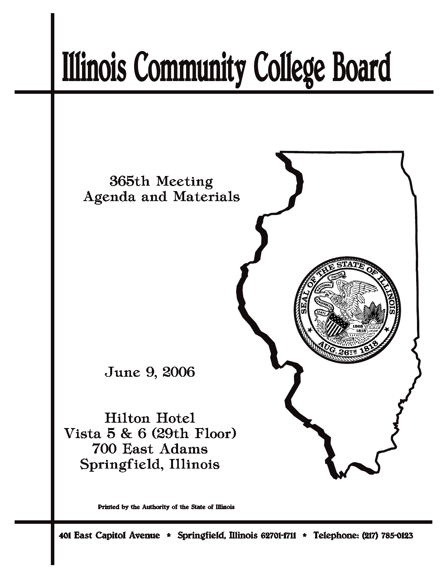# **Illinois Community College Board**



Printed by the Authority of the State of Illinois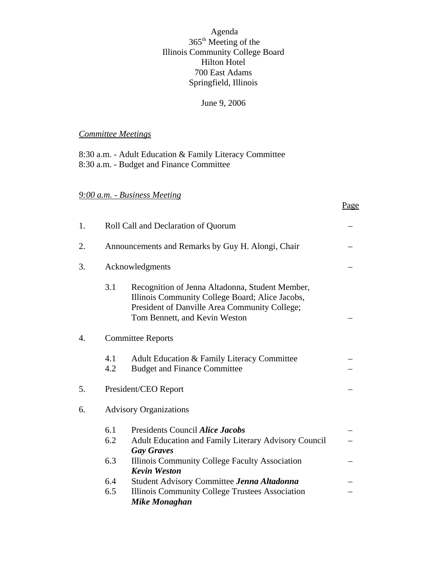# Agenda 365th Meeting of the Illinois Community College Board Hilton Hotel 700 East Adams Springfield, Illinois

# June 9, 2006

Page

# *Committee Meetings*

8:30 a.m. - Adult Education & Family Literacy Committee 8:30 a.m. - Budget and Finance Committee

# *9:00 a.m. - Business Meeting*

| 1. | Roll Call and Declaration of Quorum               |                                                                                                                                                                                      |  |  |  |
|----|---------------------------------------------------|--------------------------------------------------------------------------------------------------------------------------------------------------------------------------------------|--|--|--|
| 2. | Announcements and Remarks by Guy H. Alongi, Chair |                                                                                                                                                                                      |  |  |  |
| 3. | Acknowledgments                                   |                                                                                                                                                                                      |  |  |  |
|    | 3.1                                               | Recognition of Jenna Altadonna, Student Member,<br>Illinois Community College Board; Alice Jacobs,<br>President of Danville Area Community College;<br>Tom Bennett, and Kevin Weston |  |  |  |
| 4. |                                                   | <b>Committee Reports</b>                                                                                                                                                             |  |  |  |
|    | 4.1<br>4.2                                        | Adult Education & Family Literacy Committee<br><b>Budget and Finance Committee</b>                                                                                                   |  |  |  |
| 5. |                                                   | President/CEO Report                                                                                                                                                                 |  |  |  |
| 6. |                                                   | <b>Advisory Organizations</b>                                                                                                                                                        |  |  |  |
|    | 6.1<br>6.2<br>6.3                                 | Presidents Council Alice Jacobs<br>Adult Education and Family Literary Advisory Council<br><b>Gay Graves</b><br>Illinois Community College Faculty Association                       |  |  |  |
|    | 6.4<br>6.5                                        | <b>Kevin Weston</b><br>Student Advisory Committee Jenna Altadonna<br>Illinois Community College Trustees Association<br>Mike Monaghan                                                |  |  |  |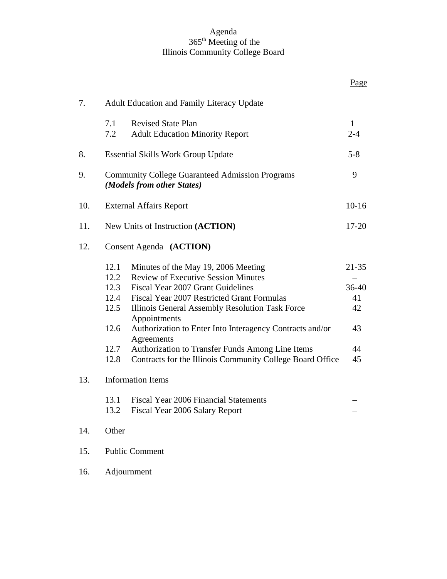#### Agenda 365th Meeting of the Illinois Community College Board

|     |                                                                                      |                                                                                                                                                                                                                                                                                                                                                                                                                                              | Page                                             |  |
|-----|--------------------------------------------------------------------------------------|----------------------------------------------------------------------------------------------------------------------------------------------------------------------------------------------------------------------------------------------------------------------------------------------------------------------------------------------------------------------------------------------------------------------------------------------|--------------------------------------------------|--|
| 7.  | <b>Adult Education and Family Literacy Update</b>                                    |                                                                                                                                                                                                                                                                                                                                                                                                                                              |                                                  |  |
|     | 7.1<br>7.2                                                                           | <b>Revised State Plan</b><br><b>Adult Education Minority Report</b>                                                                                                                                                                                                                                                                                                                                                                          | $\mathbf{1}$<br>$2 - 4$                          |  |
| 8.  | <b>Essential Skills Work Group Update</b>                                            |                                                                                                                                                                                                                                                                                                                                                                                                                                              |                                                  |  |
| 9.  | <b>Community College Guaranteed Admission Programs</b><br>(Models from other States) |                                                                                                                                                                                                                                                                                                                                                                                                                                              |                                                  |  |
| 10. | <b>External Affairs Report</b>                                                       |                                                                                                                                                                                                                                                                                                                                                                                                                                              |                                                  |  |
| 11. | New Units of Instruction (ACTION)                                                    |                                                                                                                                                                                                                                                                                                                                                                                                                                              |                                                  |  |
| 12. | Consent Agenda (ACTION)                                                              |                                                                                                                                                                                                                                                                                                                                                                                                                                              |                                                  |  |
|     | 12.1<br>12.2<br>12.5<br>12.6<br>12.7<br>12.8                                         | Minutes of the May 19, 2006 Meeting<br><b>Review of Executive Session Minutes</b><br>12.3 Fiscal Year 2007 Grant Guidelines<br>12.4 Fiscal Year 2007 Restricted Grant Formulas<br>Illinois General Assembly Resolution Task Force<br>Appointments<br>Authorization to Enter Into Interagency Contracts and/or<br>Agreements<br>Authorization to Transfer Funds Among Line Items<br>Contracts for the Illinois Community College Board Office | $21 - 35$<br>36-40<br>41<br>42<br>43<br>44<br>45 |  |
| 13. | 13.2                                                                                 | <b>Information Items</b><br>13.1 Fiscal Year 2006 Financial Statements<br>Fiscal Year 2006 Salary Report                                                                                                                                                                                                                                                                                                                                     |                                                  |  |
| 14. | Other                                                                                |                                                                                                                                                                                                                                                                                                                                                                                                                                              |                                                  |  |
| 15. | <b>Public Comment</b>                                                                |                                                                                                                                                                                                                                                                                                                                                                                                                                              |                                                  |  |
| 16. | Adjournment                                                                          |                                                                                                                                                                                                                                                                                                                                                                                                                                              |                                                  |  |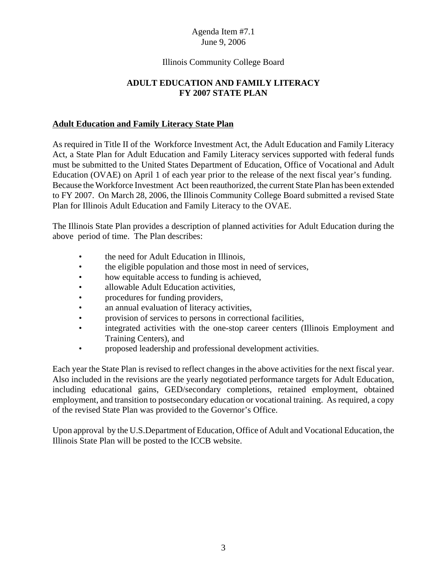# Illinois Community College Board

# **ADULT EDUCATION AND FAMILY LITERACY FY 2007 STATE PLAN**

#### **Adult Education and Family Literacy State Plan**

As required in Title II of the Workforce Investment Act, the Adult Education and Family Literacy Act, a State Plan for Adult Education and Family Literacy services supported with federal funds must be submitted to the United States Department of Education, Office of Vocational and Adult Education (OVAE) on April 1 of each year prior to the release of the next fiscal year's funding. Because the Workforce Investment Act been reauthorized, the current State Plan has been extended to FY 2007. On March 28, 2006, the Illinois Community College Board submitted a revised State Plan for Illinois Adult Education and Family Literacy to the OVAE.

The Illinois State Plan provides a description of planned activities for Adult Education during the above period of time. The Plan describes:

- the need for Adult Education in Illinois,
- the eligible population and those most in need of services,
- how equitable access to funding is achieved,
- allowable Adult Education activities,
- procedures for funding providers,
- an annual evaluation of literacy activities,
- provision of services to persons in correctional facilities,
- integrated activities with the one-stop career centers (Illinois Employment and Training Centers), and
- proposed leadership and professional development activities.

Each year the State Plan is revised to reflect changes in the above activities for the next fiscal year. Also included in the revisions are the yearly negotiated performance targets for Adult Education, including educational gains, GED/secondary completions, retained employment, obtained employment, and transition to postsecondary education or vocational training. As required, a copy of the revised State Plan was provided to the Governor's Office.

Upon approval by the U.S.Department of Education, Office of Adult and Vocational Education, the Illinois State Plan will be posted to the ICCB website.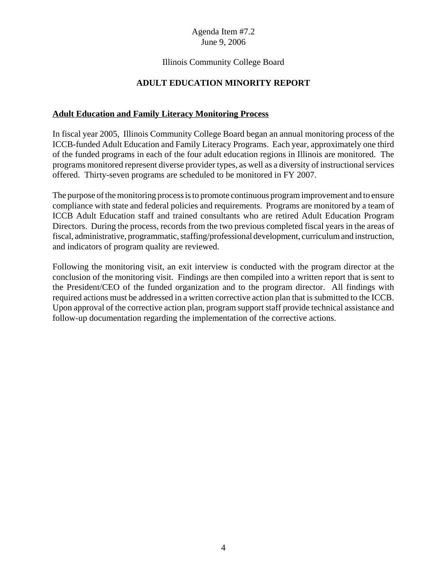# Illinois Community College Board

# **ADULT EDUCATION MINORITY REPORT**

#### **Adult Education and Family Literacy Monitoring Process**

In fiscal year 2005, Illinois Community College Board began an annual monitoring process of the ICCB-funded Adult Education and Family Literacy Programs. Each year, approximately one third of the funded programs in each of the four adult education regions in Illinois are monitored. The programs monitored represent diverse provider types, as well as a diversity of instructional services offered. Thirty-seven programs are scheduled to be monitored in FY 2007.

The purpose of the monitoring process is to promote continuous program improvement and to ensure compliance with state and federal policies and requirements. Programs are monitored by a team of ICCB Adult Education staff and trained consultants who are retired Adult Education Program Directors. During the process, records from the two previous completed fiscal years in the areas of fiscal, administrative, programmatic, staffing/professional development, curriculum and instruction, and indicators of program quality are reviewed.

Following the monitoring visit, an exit interview is conducted with the program director at the conclusion of the monitoring visit. Findings are then compiled into a written report that is sent to the President/CEO of the funded organization and to the program director. All findings with required actions must be addressed in a written corrective action plan that is submitted to the ICCB. Upon approval of the corrective action plan, program support staff provide technical assistance and follow-up documentation regarding the implementation of the corrective actions.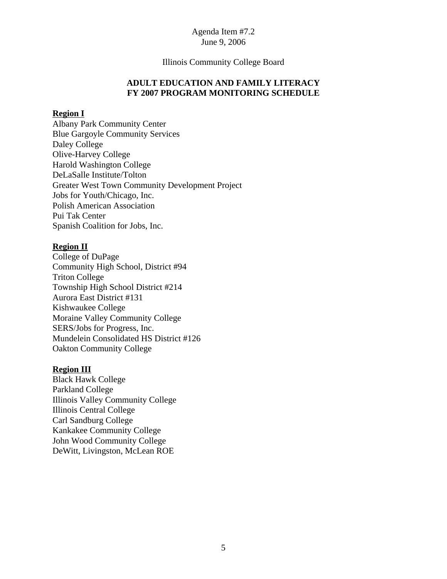#### Illinois Community College Board

#### **ADULT EDUCATION AND FAMILY LITERACY FY 2007 PROGRAM MONITORING SCHEDULE**

#### **Region I**

Albany Park Community Center Blue Gargoyle Community Services Daley College Olive-Harvey College Harold Washington College DeLaSalle Institute/Tolton Greater West Town Community Development Project Jobs for Youth/Chicago, Inc. Polish American Association Pui Tak Center Spanish Coalition for Jobs, Inc.

#### **Region II**

College of DuPage Community High School, District #94 Triton College Township High School District #214 Aurora East District #131 Kishwaukee College Moraine Valley Community College SERS/Jobs for Progress, Inc. Mundelein Consolidated HS District #126 Oakton Community College

#### **Region III**

Black Hawk College Parkland College Illinois Valley Community College Illinois Central College Carl Sandburg College Kankakee Community College John Wood Community College DeWitt, Livingston, McLean ROE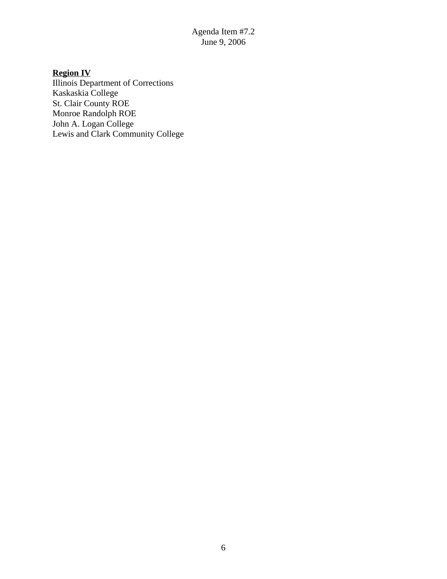# **Region IV**

Illinois Department of Corrections Kaskaskia College St. Clair County ROE Monroe Randolph ROE John A. Logan College Lewis and Clark Community College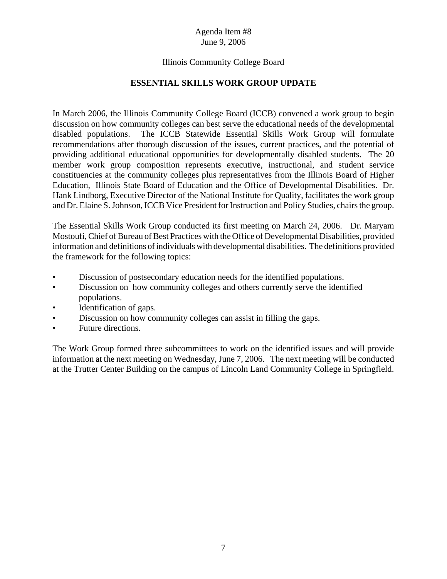# Illinois Community College Board

# **ESSENTIAL SKILLS WORK GROUP UPDATE**

In March 2006, the Illinois Community College Board (ICCB) convened a work group to begin discussion on how community colleges can best serve the educational needs of the developmental disabled populations. The ICCB Statewide Essential Skills Work Group will formulate recommendations after thorough discussion of the issues, current practices, and the potential of providing additional educational opportunities for developmentally disabled students. The 20 member work group composition represents executive, instructional, and student service constituencies at the community colleges plus representatives from the Illinois Board of Higher Education, Illinois State Board of Education and the Office of Developmental Disabilities. Dr. Hank Lindborg, Executive Director of the National Institute for Quality, facilitates the work group and Dr. Elaine S. Johnson, ICCB Vice President for Instruction and Policy Studies, chairs the group.

The Essential Skills Work Group conducted its first meeting on March 24, 2006. Dr. Maryam Mostoufi, Chief of Bureau of Best Practices with the Office of Developmental Disabilities, provided information and definitions of individuals with developmental disabilities. The definitions provided the framework for the following topics:

- Discussion of postsecondary education needs for the identified populations.
- Discussion on how community colleges and others currently serve the identified populations.
- Identification of gaps.
- Discussion on how community colleges can assist in filling the gaps.
- Future directions.

The Work Group formed three subcommittees to work on the identified issues and will provide information at the next meeting on Wednesday, June 7, 2006. The next meeting will be conducted at the Trutter Center Building on the campus of Lincoln Land Community College in Springfield.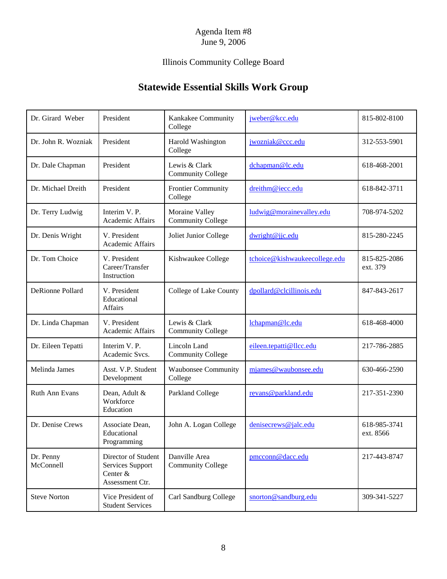# Illinois Community College Board

# **Statewide Essential Skills Work Group**

| Dr. Girard Weber        | President                                                              | Kankakee Community<br>College              | jweber@kcc.edu                | 815-802-8100              |
|-------------------------|------------------------------------------------------------------------|--------------------------------------------|-------------------------------|---------------------------|
| Dr. John R. Wozniak     | President                                                              | Harold Washington<br>College               | jwozniak@ccc.edu              | 312-553-5901              |
| Dr. Dale Chapman        | President                                                              | Lewis & Clark<br><b>Community College</b>  | dchapman@lc.edu               | 618-468-2001              |
| Dr. Michael Dreith      | President                                                              | <b>Frontier Community</b><br>College       | dreithm@iecc.edu              | 618-842-3711              |
| Dr. Terry Ludwig        | Interim V. P.<br>Academic Affairs                                      | Moraine Valley<br><b>Community College</b> | ludwig@morainevalley.edu      | 708-974-5202              |
| Dr. Denis Wright        | V. President<br>Academic Affairs                                       | Joliet Junior College                      | dwright@jjc.edu               | 815-280-2245              |
| Dr. Tom Choice          | V. President<br>Career/Transfer<br>Instruction                         | Kishwaukee College                         | tchoice@kishwaukeecollege.edu | 815-825-2086<br>ext. 379  |
| <b>DeRionne Pollard</b> | V. President<br>Educational<br>Affairs                                 | College of Lake County                     | dpollard@clcillinois.edu      | 847-843-2617              |
| Dr. Linda Chapman       | V. President<br>Academic Affairs                                       | Lewis & Clark<br><b>Community College</b>  | lchapman@lc.edu               | 618-468-4000              |
| Dr. Eileen Tepatti      | Interim V. P.<br>Academic Svcs.                                        | Lincoln Land<br><b>Community College</b>   | eileen.tepatti@llcc.edu       | 217-786-2885              |
| Melinda James           | Asst. V.P. Student<br>Development                                      | Waubonsee Community<br>College             | mjames@waubonsee.edu          | 630-466-2590              |
| Ruth Ann Evans          | Dean, Adult &<br>Workforce<br>Education                                | Parkland College                           | revans@parkland.edu           | 217-351-2390              |
| Dr. Denise Crews        | Associate Dean,<br>Educational<br>Programming                          | John A. Logan College                      | denisecrews@jalc.edu          | 618-985-3741<br>ext. 8566 |
| Dr. Penny<br>McConnell  | Director of Student<br>Services Support<br>Center &<br>Assessment Ctr. | Danville Area<br>Community College         | pmcconn@dacc.edu              | 217-443-8747              |
| <b>Steve Norton</b>     | Vice President of<br><b>Student Services</b>                           | Carl Sandburg College                      | snorton@sandburg.edu          | 309-341-5227              |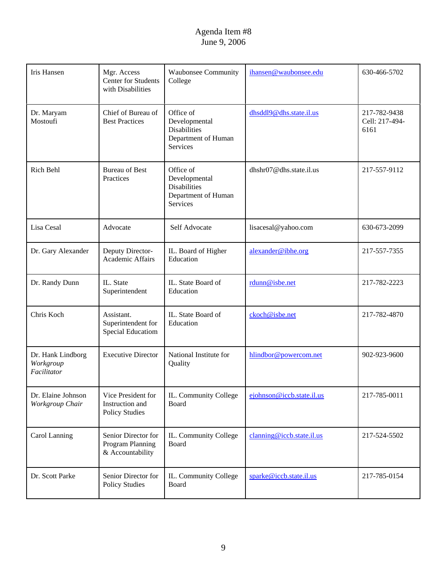| <b>Iris Hansen</b>                            | Mgr. Access<br><b>Center for Students</b><br>with Disabilities | <b>Waubonsee Community</b><br>College                                                       | ihansen@waubonsee.edu     | 630-466-5702                           |
|-----------------------------------------------|----------------------------------------------------------------|---------------------------------------------------------------------------------------------|---------------------------|----------------------------------------|
| Dr. Maryam<br>Mostoufi                        | Chief of Bureau of<br><b>Best Practices</b>                    | Office of<br>Developmental<br><b>Disabilities</b><br>Department of Human<br>Services        | dhsddl9@dhs.state.il.us   | 217-782-9438<br>Cell: 217-494-<br>6161 |
| Rich Behl                                     | <b>Bureau of Best</b><br>Practices                             | Office of<br>Developmental<br><b>Disabilities</b><br>Department of Human<br><b>Services</b> | dhshr07@dhs.state.il.us   | 217-557-9112                           |
| Lisa Cesal                                    | Advocate                                                       | Self Advocate                                                                               | lisacesal@yahoo.com       | 630-673-2099                           |
| Dr. Gary Alexander                            | Deputy Director-<br>Academic Affairs                           | IL. Board of Higher<br>Education                                                            | alexander@ibhe.org        | 217-557-7355                           |
| Dr. Randy Dunn                                | IL. State<br>Superintendent                                    | IL. State Board of<br>Education                                                             | rdunn@isbe.net            | 217-782-2223                           |
| Chris Koch                                    | Assistant.<br>Superintendent for<br><b>Special Educatiom</b>   | IL. State Board of<br>Education                                                             | ckoch@isbe.net            | 217-782-4870                           |
| Dr. Hank Lindborg<br>Workgroup<br>Facilitator | <b>Executive Director</b>                                      | National Institute for<br>Quality                                                           | hlindbor@powercom.net     | 902-923-9600                           |
| Dr. Elaine Johnson<br>Workgroup Chair         | Vice President for<br>Instruction and<br><b>Policy Studies</b> | IL. Community College<br>Board                                                              | ejohnson@iccb.state.il.us | 217-785-0011                           |
| Carol Lanning                                 | Senior Director for<br>Program Planning<br>& Accountability    | IL. Community College<br>Board                                                              | clanning@iccb.state.il.us | 217-524-5502                           |
| Dr. Scott Parke                               | Senior Director for<br><b>Policy Studies</b>                   | IL. Community College<br>Board                                                              | sparke@iccb.state.il.us   | 217-785-0154                           |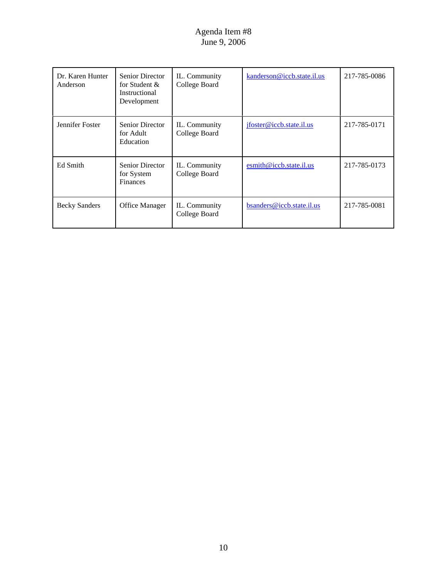| Dr. Karen Hunter<br>Anderson | <b>Senior Director</b><br>for Student &<br>Instructional<br>Development | IL. Community<br>College Board | kanderson@iccb.state.il.us | 217-785-0086 |
|------------------------------|-------------------------------------------------------------------------|--------------------------------|----------------------------|--------------|
| Jennifer Foster              | <b>Senior Director</b><br>for Adult<br>Education                        | IL. Community<br>College Board | jfoster@iccb.state.il.us   | 217-785-0171 |
| Ed Smith                     | <b>Senior Director</b><br>for System<br><b>Finances</b>                 | IL. Community<br>College Board | esmith@iccb.state.il.us    | 217-785-0173 |
| <b>Becky Sanders</b>         | Office Manager                                                          | IL. Community<br>College Board | bsanders@iccb.state.il.us  | 217-785-0081 |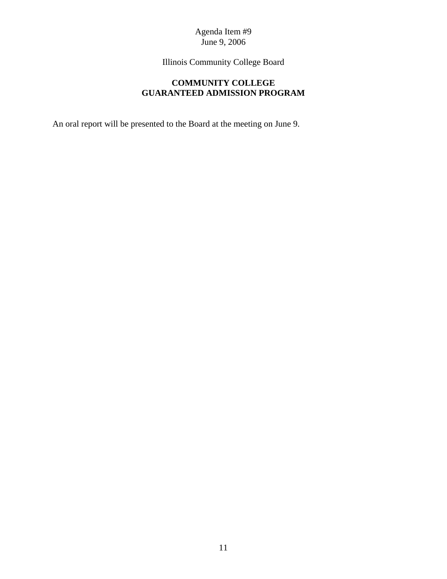Illinois Community College Board

# **COMMUNITY COLLEGE GUARANTEED ADMISSION PROGRAM**

An oral report will be presented to the Board at the meeting on June 9.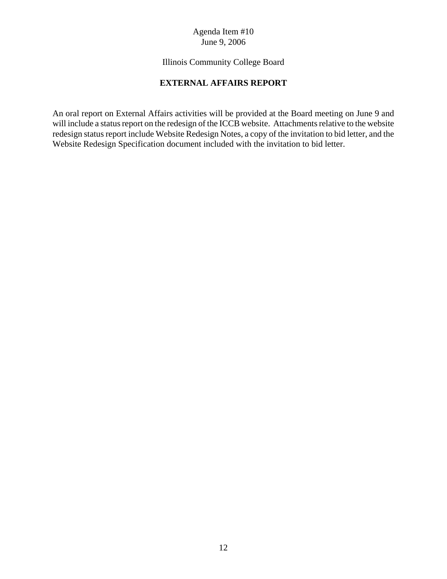# Illinois Community College Board

## **EXTERNAL AFFAIRS REPORT**

An oral report on External Affairs activities will be provided at the Board meeting on June 9 and will include a status report on the redesign of the ICCB website. Attachments relative to the website redesign status report include Website Redesign Notes, a copy of the invitation to bid letter, and the Website Redesign Specification document included with the invitation to bid letter.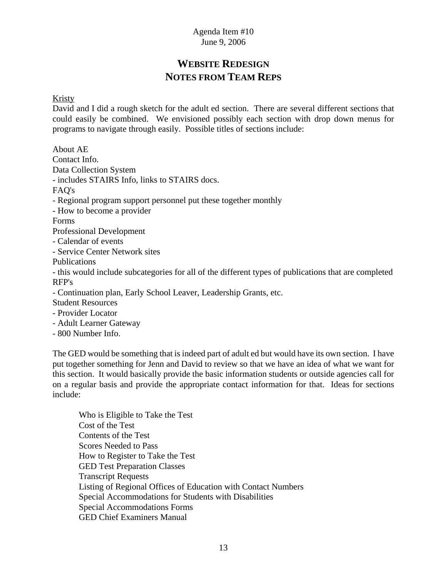# **WEBSITE REDESIGN NOTES FROM TEAM REPS**

#### Kristy

David and I did a rough sketch for the adult ed section. There are several different sections that could easily be combined. We envisioned possibly each section with drop down menus for programs to navigate through easily. Possible titles of sections include:

About AE Contact Info. Data Collection System - includes STAIRS Info, links to STAIRS docs. FAQ's - Regional program support personnel put these together monthly - How to become a provider Forms Professional Development - Calendar of events - Service Center Network sites Publications - this would include subcategories for all of the different types of publications that are completed RFP's - Continuation plan, Early School Leaver, Leadership Grants, etc. Student Resources

- Provider Locator
- Adult Learner Gateway
- 800 Number Info.

The GED would be something that is indeed part of adult ed but would have its own section. I have put together something for Jenn and David to review so that we have an idea of what we want for this section. It would basically provide the basic information students or outside agencies call for on a regular basis and provide the appropriate contact information for that. Ideas for sections include:

Who is Eligible to Take the Test Cost of the Test Contents of the Test Scores Needed to Pass How to Register to Take the Test GED Test Preparation Classes Transcript Requests Listing of Regional Offices of Education with Contact Numbers Special Accommodations for Students with Disabilities Special Accommodations Forms GED Chief Examiners Manual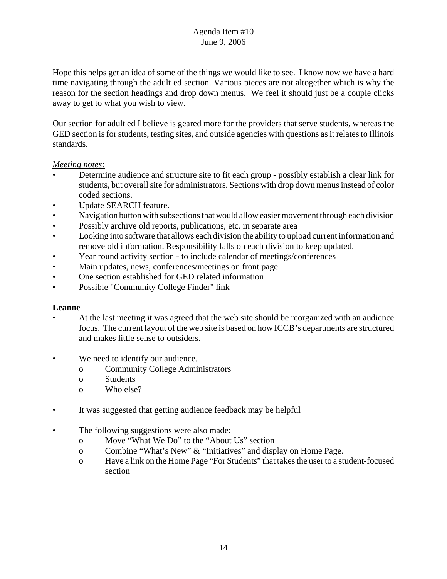Hope this helps get an idea of some of the things we would like to see. I know now we have a hard time navigating through the adult ed section. Various pieces are not altogether which is why the reason for the section headings and drop down menus. We feel it should just be a couple clicks away to get to what you wish to view.

Our section for adult ed I believe is geared more for the providers that serve students, whereas the GED section is for students, testing sites, and outside agencies with questions as it relates to Illinois standards.

#### *Meeting notes:*

- Determine audience and structure site to fit each group possibly establish a clear link for students, but overall site for administrators. Sections with drop down menus instead of color coded sections.
- Update SEARCH feature.
- Navigation button with subsections that would allow easier movement through each division
- Possibly archive old reports, publications, etc. in separate area
- Looking into software that allows each division the ability to upload current information and remove old information. Responsibility falls on each division to keep updated.
- Year round activity section to include calendar of meetings/conferences
- Main updates, news, conferences/meetings on front page
- One section established for GED related information
- Possible "Community College Finder" link

# **Leanne**

- At the last meeting it was agreed that the web site should be reorganized with an audience focus. The current layout of the web site is based on how ICCB's departments are structured and makes little sense to outsiders.
- We need to identify our audience.
	- o Community College Administrators
	- o Students
	- o Who else?
- It was suggested that getting audience feedback may be helpful
- The following suggestions were also made:
	- o Move "What We Do" to the "About Us" section
	- o Combine "What's New" & "Initiatives" and display on Home Page.
	- o Have a link on the Home Page "For Students" that takes the user to a student-focused section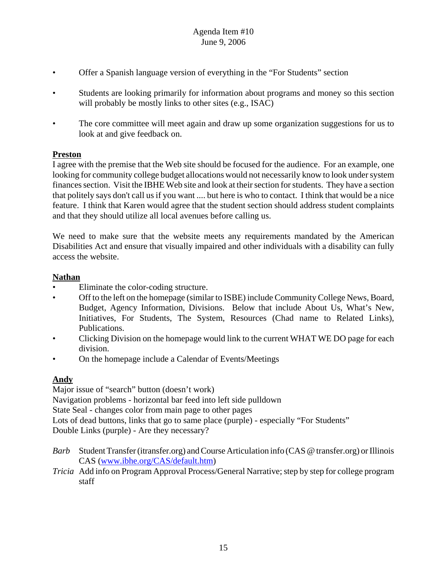- Offer a Spanish language version of everything in the "For Students" section
- Students are looking primarily for information about programs and money so this section will probably be mostly links to other sites (e.g., ISAC)
- The core committee will meet again and draw up some organization suggestions for us to look at and give feedback on.

# **Preston**

I agree with the premise that the Web site should be focused for the audience. For an example, one looking for community college budget allocations would not necessarily know to look under system finances section. Visit the IBHE Web site and look at their section for students. They have a section that politely says don't call us if you want .... but here is who to contact. I think that would be a nice feature. I think that Karen would agree that the student section should address student complaints and that they should utilize all local avenues before calling us.

We need to make sure that the website meets any requirements mandated by the American Disabilities Act and ensure that visually impaired and other individuals with a disability can fully access the website.

# **Nathan**

- Eliminate the color-coding structure.
- Off to the left on the homepage (similar to ISBE) include Community College News, Board, Budget, Agency Information, Divisions. Below that include About Us, What's New, Initiatives, For Students, The System, Resources (Chad name to Related Links), Publications.
- Clicking Division on the homepage would link to the current WHAT WE DO page for each division.
- On the homepage include a Calendar of Events/Meetings

# **Andy**

Major issue of "search" button (doesn't work) Navigation problems - horizontal bar feed into left side pulldown State Seal - changes color from main page to other pages Lots of dead buttons, links that go to same place (purple) - especially "For Students" Double Links (purple) - Are they necessary?

- *Barb* Student Transfer (itransfer.org) and Course Articulation info (CAS @ transfer.org) or Illinois CAS (www.ibhe.org/CAS/default.htm)
- *Tricia* Add info on Program Approval Process/General Narrative; step by step for college program staff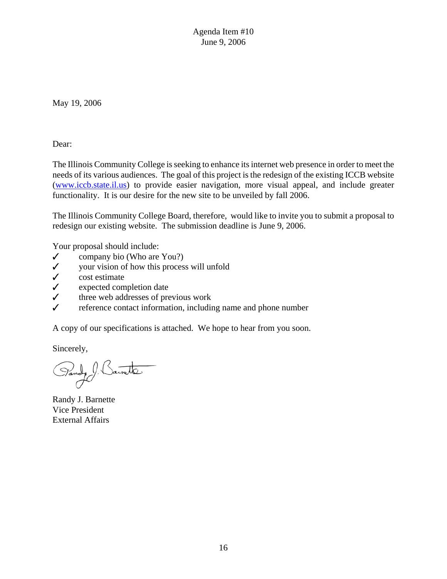May 19, 2006

Dear:

The Illinois Community College is seeking to enhance its internet web presence in order to meet the needs of its various audiences. The goal of this project is the redesign of the existing ICCB website (www.iccb.state.il.us) to provide easier navigation, more visual appeal, and include greater functionality. It is our desire for the new site to be unveiled by fall 2006.

The Illinois Community College Board, therefore, would like to invite you to submit a proposal to redesign our existing website. The submission deadline is June 9, 2006.

Your proposal should include:

- $\checkmark$  company bio (Who are You?)
- $\checkmark$  your vision of how this process will unfold
- $\checkmark$  cost estimate
- $\checkmark$  expected completion date
- $\checkmark$  three web addresses of previous work
- reference contact information, including name and phone number

A copy of our specifications is attached. We hope to hear from you soon.

Sincerely,

Pandy Sainette

Randy J. Barnette Vice President External Affairs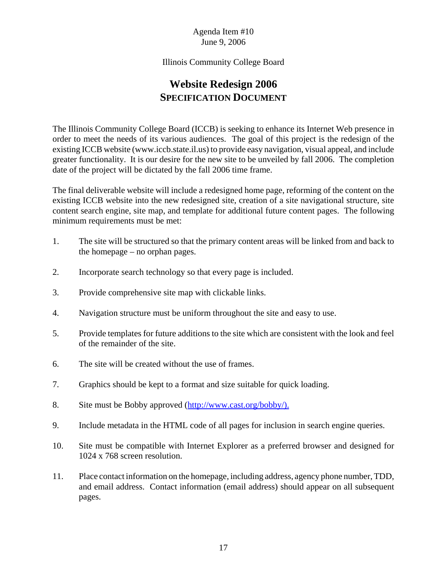#### Illinois Community College Board

# **Website Redesign 2006 SPECIFICATION DOCUMENT**

The Illinois Community College Board (ICCB) is seeking to enhance its Internet Web presence in order to meet the needs of its various audiences. The goal of this project is the redesign of the existing ICCB website (www.iccb.state.il.us) to provide easy navigation, visual appeal, and include greater functionality. It is our desire for the new site to be unveiled by fall 2006. The completion date of the project will be dictated by the fall 2006 time frame.

The final deliverable website will include a redesigned home page, reforming of the content on the existing ICCB website into the new redesigned site, creation of a site navigational structure, site content search engine, site map, and template for additional future content pages. The following minimum requirements must be met:

- 1. The site will be structured so that the primary content areas will be linked from and back to the homepage – no orphan pages.
- 2. Incorporate search technology so that every page is included.
- 3. Provide comprehensive site map with clickable links.
- 4. Navigation structure must be uniform throughout the site and easy to use.
- 5. Provide templates for future additions to the site which are consistent with the look and feel of the remainder of the site.
- 6. The site will be created without the use of frames.
- 7. Graphics should be kept to a format and size suitable for quick loading.
- 8. Site must be Bobby approved (http://www.cast.org/bobby/).
- 9. Include metadata in the HTML code of all pages for inclusion in search engine queries.
- 10. Site must be compatible with Internet Explorer as a preferred browser and designed for 1024 x 768 screen resolution.
- 11. Place contact information on the homepage, including address, agency phone number, TDD, and email address. Contact information (email address) should appear on all subsequent pages.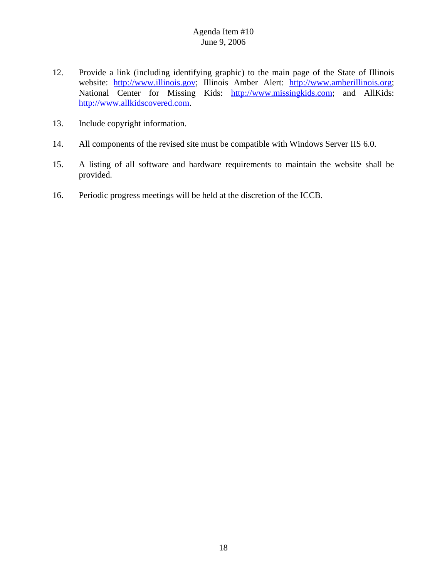- 12. Provide a link (including identifying graphic) to the main page of the State of Illinois website: http://www.illinois.gov; Illinois Amber Alert: http://www.amberillinois.org; National Center for Missing Kids: http://www.missingkids.com; and AllKids: http://www.allkidscovered.com.
- 13. Include copyright information.
- 14. All components of the revised site must be compatible with Windows Server IIS 6.0.
- 15. A listing of all software and hardware requirements to maintain the website shall be provided.
- 16. Periodic progress meetings will be held at the discretion of the ICCB.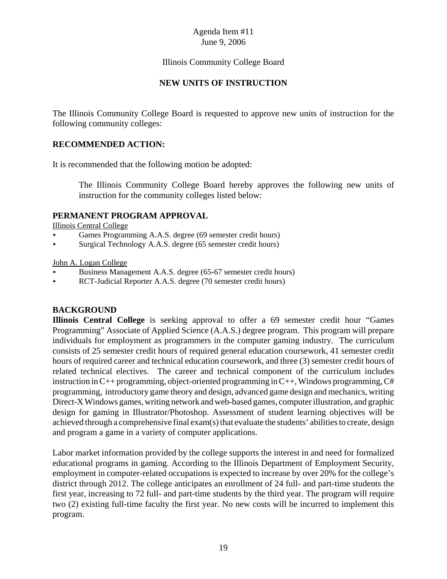#### Illinois Community College Board

#### **NEW UNITS OF INSTRUCTION**

The Illinois Community College Board is requested to approve new units of instruction for the following community colleges:

#### **RECOMMENDED ACTION:**

It is recommended that the following motion be adopted:

The Illinois Community College Board hereby approves the following new units of instruction for the community colleges listed below:

#### **PERMANENT PROGRAM APPROVAL**

Illinois Central College

- Games Programming A.A.S. degree (69 semester credit hours)
- < Surgical Technology A.A.S. degree (65 semester credit hours)

#### John A. Logan College

- < Business Management A.A.S. degree (65-67 semester credit hours)
- < RCT-Judicial Reporter A.A.S. degree (70 semester credit hours)

#### **BACKGROUND**

**Illinois Central College** is seeking approval to offer a 69 semester credit hour "Games Programming" Associate of Applied Science (A.A.S.) degree program. This program will prepare individuals for employment as programmers in the computer gaming industry. The curriculum consists of 25 semester credit hours of required general education coursework, 41 semester credit hours of required career and technical education coursework, and three (3) semester credit hours of related technical electives. The career and technical component of the curriculum includes instruction in  $C^{++}$  programming, object-oriented programming in  $C^{++}$ , Windows programming,  $C^{++}$ programming, introductory game theory and design, advanced game design and mechanics, writing Direct-X Windows games, writing network and web-based games, computer illustration, and graphic design for gaming in Illustrator/Photoshop. Assessment of student learning objectives will be achieved through a comprehensive final exam(s) that evaluate the students' abilities to create, design and program a game in a variety of computer applications.

Labor market information provided by the college supports the interest in and need for formalized educational programs in gaming. According to the Illinois Department of Employment Security, employment in computer-related occupations is expected to increase by over 20% for the college's district through 2012. The college anticipates an enrollment of 24 full- and part-time students the first year, increasing to 72 full- and part-time students by the third year. The program will require two (2) existing full-time faculty the first year. No new costs will be incurred to implement this program.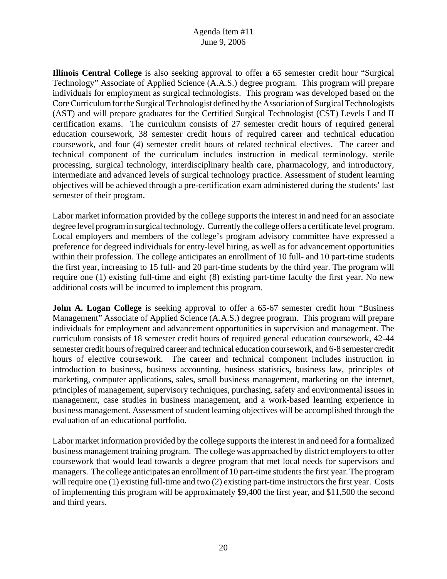**Illinois Central College** is also seeking approval to offer a 65 semester credit hour "Surgical Technology" Associate of Applied Science (A.A.S.) degree program. This program will prepare individuals for employment as surgical technologists. This program was developed based on the Core Curriculum for the Surgical Technologist defined by the Association of Surgical Technologists (AST) and will prepare graduates for the Certified Surgical Technologist (CST) Levels I and II certification exams. The curriculum consists of 27 semester credit hours of required general education coursework, 38 semester credit hours of required career and technical education coursework, and four (4) semester credit hours of related technical electives. The career and technical component of the curriculum includes instruction in medical terminology, sterile processing, surgical technology, interdisciplinary health care, pharmacology, and introductory, intermediate and advanced levels of surgical technology practice. Assessment of student learning objectives will be achieved through a pre-certification exam administered during the students' last semester of their program.

Labor market information provided by the college supports the interest in and need for an associate degree level program in surgical technology. Currently the college offers a certificate level program. Local employers and members of the college's program advisory committee have expressed a preference for degreed individuals for entry-level hiring, as well as for advancement opportunities within their profession. The college anticipates an enrollment of 10 full- and 10 part-time students the first year, increasing to 15 full- and 20 part-time students by the third year. The program will require one (1) existing full-time and eight (8) existing part-time faculty the first year. No new additional costs will be incurred to implement this program.

**John A. Logan College** is seeking approval to offer a 65-67 semester credit hour "Business" Management" Associate of Applied Science (A.A.S.) degree program. This program will prepare individuals for employment and advancement opportunities in supervision and management. The curriculum consists of 18 semester credit hours of required general education coursework, 42-44 semester credit hours of required career and technical education coursework, and 6-8 semester credit hours of elective coursework. The career and technical component includes instruction in introduction to business, business accounting, business statistics, business law, principles of marketing, computer applications, sales, small business management, marketing on the internet, principles of management, supervisory techniques, purchasing, safety and environmental issues in management, case studies in business management, and a work-based learning experience in business management. Assessment of student learning objectives will be accomplished through the evaluation of an educational portfolio.

Labor market information provided by the college supports the interest in and need for a formalized business management training program. The college was approached by district employers to offer coursework that would lead towards a degree program that met local needs for supervisors and managers. The college anticipates an enrollment of 10 part-time students the first year. The program will require one (1) existing full-time and two (2) existing part-time instructors the first year. Costs of implementing this program will be approximately \$9,400 the first year, and \$11,500 the second and third years.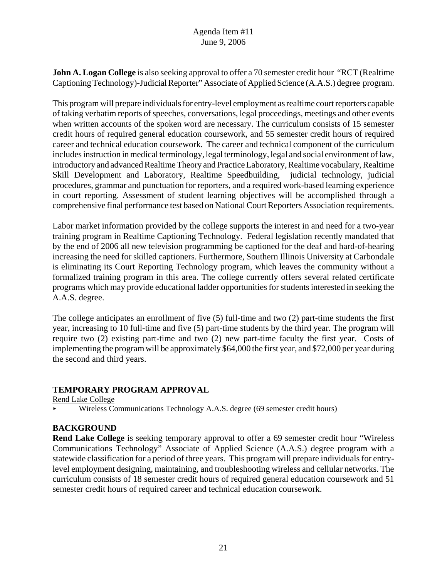**John A. Logan College** is also seeking approval to offer a 70 semester credit hour "RCT (Realtime Captioning Technology)-Judicial Reporter" Associate of Applied Science (A.A.S.) degree program.

This program will prepare individuals for entry-level employment as realtime court reporters capable of taking verbatim reports of speeches, conversations, legal proceedings, meetings and other events when written accounts of the spoken word are necessary. The curriculum consists of 15 semester credit hours of required general education coursework, and 55 semester credit hours of required career and technical education coursework. The career and technical component of the curriculum includes instruction in medical terminology, legal terminology, legal and social environment of law, introductory and advanced Realtime Theory and Practice Laboratory, Realtime vocabulary, Realtime Skill Development and Laboratory, Realtime Speedbuilding, judicial technology, judicial procedures, grammar and punctuation for reporters, and a required work-based learning experience in court reporting. Assessment of student learning objectives will be accomplished through a comprehensive final performance test based on National Court Reporters Association requirements.

Labor market information provided by the college supports the interest in and need for a two-year training program in Realtime Captioning Technology. Federal legislation recently mandated that by the end of 2006 all new television programming be captioned for the deaf and hard-of-hearing increasing the need for skilled captioners. Furthermore, Southern Illinois University at Carbondale is eliminating its Court Reporting Technology program, which leaves the community without a formalized training program in this area. The college currently offers several related certificate programs which may provide educational ladder opportunities for students interested in seeking the A.A.S. degree.

The college anticipates an enrollment of five (5) full-time and two (2) part-time students the first year, increasing to 10 full-time and five (5) part-time students by the third year. The program will require two (2) existing part-time and two (2) new part-time faculty the first year. Costs of implementing the program will be approximately \$64,000 the first year, and \$72,000 per year during the second and third years.

# **TEMPORARY PROGRAM APPROVAL**

Rend Lake College

< Wireless Communications Technology A.A.S. degree (69 semester credit hours)

# **BACKGROUND**

**Rend Lake College** is seeking temporary approval to offer a 69 semester credit hour "Wireless Communications Technology" Associate of Applied Science (A.A.S.) degree program with a statewide classification for a period of three years. This program will prepare individuals for entrylevel employment designing, maintaining, and troubleshooting wireless and cellular networks. The curriculum consists of 18 semester credit hours of required general education coursework and 51 semester credit hours of required career and technical education coursework.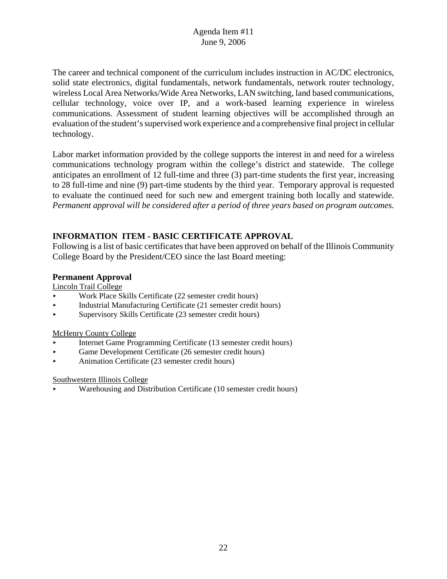The career and technical component of the curriculum includes instruction in AC/DC electronics, solid state electronics, digital fundamentals, network fundamentals, network router technology, wireless Local Area Networks/Wide Area Networks, LAN switching, land based communications, cellular technology, voice over IP, and a work-based learning experience in wireless communications. Assessment of student learning objectives will be accomplished through an evaluation of the student's supervised work experience and a comprehensive final project in cellular technology.

Labor market information provided by the college supports the interest in and need for a wireless communications technology program within the college's district and statewide. The college anticipates an enrollment of 12 full-time and three (3) part-time students the first year, increasing to 28 full-time and nine (9) part-time students by the third year. Temporary approval is requested to evaluate the continued need for such new and emergent training both locally and statewide. *Permanent approval will be considered after a period of three years based on program outcomes.*

# **INFORMATION ITEM - BASIC CERTIFICATE APPROVAL**

Following is a list of basic certificates that have been approved on behalf of the Illinois Community College Board by the President/CEO since the last Board meeting:

#### **Permanent Approval**

Lincoln Trail College

- < Work Place Skills Certificate (22 semester credit hours)
- < Industrial Manufacturing Certificate (21 semester credit hours)
- < Supervisory Skills Certificate (23 semester credit hours)

#### McHenry County College

- < Internet Game Programming Certificate (13 semester credit hours)
- < Game Development Certificate (26 semester credit hours)
- Animation Certificate (23 semester credit hours)

#### Southwestern Illinois College

< Warehousing and Distribution Certificate (10 semester credit hours)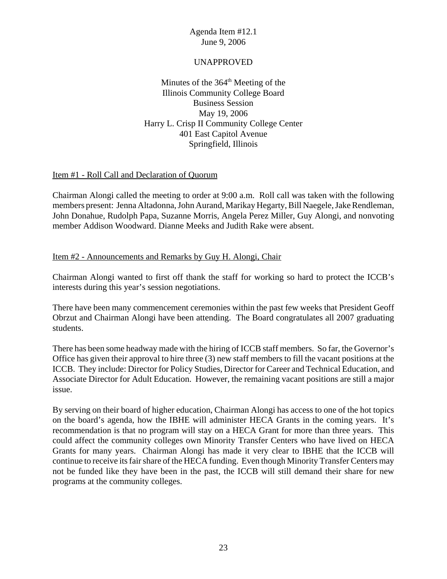## UNAPPROVED

Minutes of the  $364<sup>th</sup>$  Meeting of the Illinois Community College Board Business Session May 19, 2006 Harry L. Crisp II Community College Center 401 East Capitol Avenue Springfield, Illinois

#### Item #1 - Roll Call and Declaration of Quorum

Chairman Alongi called the meeting to order at 9:00 a.m. Roll call was taken with the following members present: Jenna Altadonna, John Aurand, Marikay Hegarty, Bill Naegele, Jake Rendleman, John Donahue, Rudolph Papa, Suzanne Morris, Angela Perez Miller, Guy Alongi, and nonvoting member Addison Woodward. Dianne Meeks and Judith Rake were absent.

#### Item #2 - Announcements and Remarks by Guy H. Alongi, Chair

Chairman Alongi wanted to first off thank the staff for working so hard to protect the ICCB's interests during this year's session negotiations.

There have been many commencement ceremonies within the past few weeks that President Geoff Obrzut and Chairman Alongi have been attending. The Board congratulates all 2007 graduating students.

There has been some headway made with the hiring of ICCB staff members. So far, the Governor's Office has given their approval to hire three (3) new staff members to fill the vacant positions at the ICCB. They include: Director for Policy Studies, Director for Career and Technical Education, and Associate Director for Adult Education. However, the remaining vacant positions are still a major issue.

By serving on their board of higher education, Chairman Alongi has access to one of the hot topics on the board's agenda, how the IBHE will administer HECA Grants in the coming years. It's recommendation is that no program will stay on a HECA Grant for more than three years. This could affect the community colleges own Minority Transfer Centers who have lived on HECA Grants for many years. Chairman Alongi has made it very clear to IBHE that the ICCB will continue to receive its fair share of the HECA funding. Even though Minority Transfer Centers may not be funded like they have been in the past, the ICCB will still demand their share for new programs at the community colleges.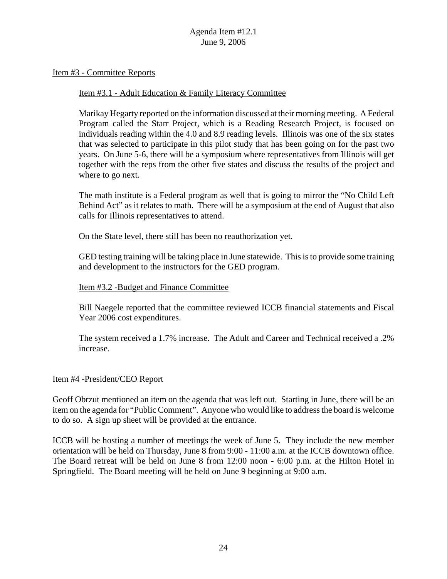Item #3 - Committee Reports

#### Item #3.1 - Adult Education & Family Literacy Committee

Marikay Hegarty reported on the information discussed at their morning meeting. A Federal Program called the Starr Project, which is a Reading Research Project, is focused on individuals reading within the 4.0 and 8.9 reading levels. Illinois was one of the six states that was selected to participate in this pilot study that has been going on for the past two years. On June 5-6, there will be a symposium where representatives from Illinois will get together with the reps from the other five states and discuss the results of the project and where to go next.

The math institute is a Federal program as well that is going to mirror the "No Child Left Behind Act" as it relates to math. There will be a symposium at the end of August that also calls for Illinois representatives to attend.

On the State level, there still has been no reauthorization yet.

GED testing training will be taking place in June statewide. This is to provide some training and development to the instructors for the GED program.

#### Item #3.2 -Budget and Finance Committee

Bill Naegele reported that the committee reviewed ICCB financial statements and Fiscal Year 2006 cost expenditures.

The system received a 1.7% increase. The Adult and Career and Technical received a .2% increase.

#### Item #4 -President/CEO Report

Geoff Obrzut mentioned an item on the agenda that was left out. Starting in June, there will be an item on the agenda for "Public Comment". Anyone who would like to address the board is welcome to do so. A sign up sheet will be provided at the entrance.

ICCB will be hosting a number of meetings the week of June 5. They include the new member orientation will be held on Thursday, June 8 from 9:00 - 11:00 a.m. at the ICCB downtown office. The Board retreat will be held on June 8 from 12:00 noon - 6:00 p.m. at the Hilton Hotel in Springfield. The Board meeting will be held on June 9 beginning at 9:00 a.m.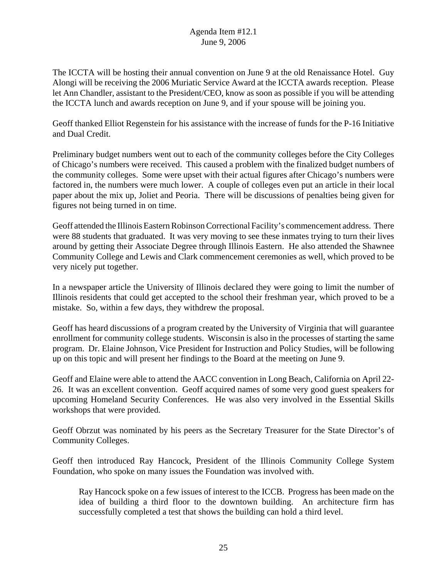The ICCTA will be hosting their annual convention on June 9 at the old Renaissance Hotel. Guy Alongi will be receiving the 2006 Muriatic Service Award at the ICCTA awards reception. Please let Ann Chandler, assistant to the President/CEO, know as soon as possible if you will be attending the ICCTA lunch and awards reception on June 9, and if your spouse will be joining you.

Geoff thanked Elliot Regenstein for his assistance with the increase of funds for the P-16 Initiative and Dual Credit.

Preliminary budget numbers went out to each of the community colleges before the City Colleges of Chicago's numbers were received. This caused a problem with the finalized budget numbers of the community colleges. Some were upset with their actual figures after Chicago's numbers were factored in, the numbers were much lower. A couple of colleges even put an article in their local paper about the mix up, Joliet and Peoria. There will be discussions of penalties being given for figures not being turned in on time.

Geoff attended the Illinois Eastern Robinson Correctional Facility's commencement address. There were 88 students that graduated. It was very moving to see these inmates trying to turn their lives around by getting their Associate Degree through Illinois Eastern. He also attended the Shawnee Community College and Lewis and Clark commencement ceremonies as well, which proved to be very nicely put together.

In a newspaper article the University of Illinois declared they were going to limit the number of Illinois residents that could get accepted to the school their freshman year, which proved to be a mistake. So, within a few days, they withdrew the proposal.

Geoff has heard discussions of a program created by the University of Virginia that will guarantee enrollment for community college students. Wisconsin is also in the processes of starting the same program. Dr. Elaine Johnson, Vice President for Instruction and Policy Studies, will be following up on this topic and will present her findings to the Board at the meeting on June 9.

Geoff and Elaine were able to attend the AACC convention in Long Beach, California on April 22- 26. It was an excellent convention. Geoff acquired names of some very good guest speakers for upcoming Homeland Security Conferences. He was also very involved in the Essential Skills workshops that were provided.

Geoff Obrzut was nominated by his peers as the Secretary Treasurer for the State Director's of Community Colleges.

Geoff then introduced Ray Hancock, President of the Illinois Community College System Foundation, who spoke on many issues the Foundation was involved with.

Ray Hancock spoke on a few issues of interest to the ICCB. Progress has been made on the idea of building a third floor to the downtown building. An architecture firm has successfully completed a test that shows the building can hold a third level.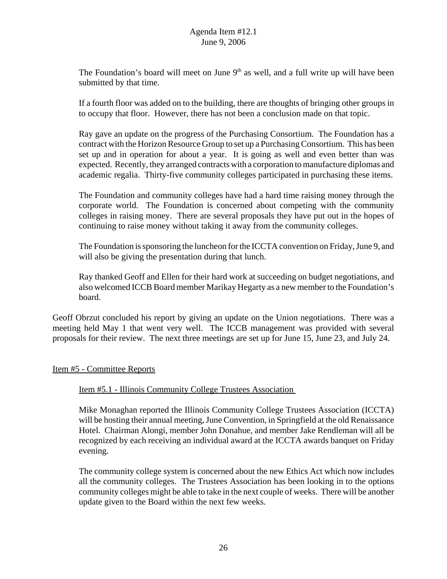The Foundation's board will meet on June  $9<sup>th</sup>$  as well, and a full write up will have been submitted by that time.

If a fourth floor was added on to the building, there are thoughts of bringing other groups in to occupy that floor. However, there has not been a conclusion made on that topic.

Ray gave an update on the progress of the Purchasing Consortium. The Foundation has a contract with the Horizon Resource Group to set up a Purchasing Consortium. This has been set up and in operation for about a year. It is going as well and even better than was expected. Recently, they arranged contracts with a corporation to manufacture diplomas and academic regalia. Thirty-five community colleges participated in purchasing these items.

The Foundation and community colleges have had a hard time raising money through the corporate world. The Foundation is concerned about competing with the community colleges in raising money. There are several proposals they have put out in the hopes of continuing to raise money without taking it away from the community colleges.

The Foundation is sponsoring the luncheon for the ICCTA convention on Friday, June 9, and will also be giving the presentation during that lunch.

Ray thanked Geoff and Ellen for their hard work at succeeding on budget negotiations, and also welcomed ICCB Board member Marikay Hegarty as a new member to the Foundation's board.

Geoff Obrzut concluded his report by giving an update on the Union negotiations. There was a meeting held May 1 that went very well. The ICCB management was provided with several proposals for their review. The next three meetings are set up for June 15, June 23, and July 24.

#### Item #5 - Committee Reports

#### Item #5.1 - Illinois Community College Trustees Association

Mike Monaghan reported the Illinois Community College Trustees Association (ICCTA) will be hosting their annual meeting, June Convention, in Springfield at the old Renaissance Hotel. Chairman Alongi, member John Donahue, and member Jake Rendleman will all be recognized by each receiving an individual award at the ICCTA awards banquet on Friday evening.

The community college system is concerned about the new Ethics Act which now includes all the community colleges. The Trustees Association has been looking in to the options community colleges might be able to take in the next couple of weeks. There will be another update given to the Board within the next few weeks.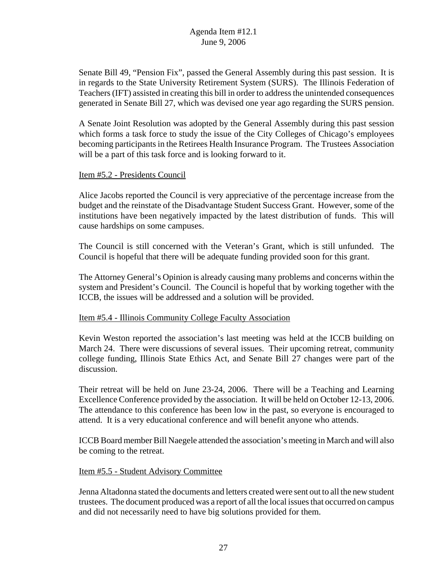Senate Bill 49, "Pension Fix", passed the General Assembly during this past session. It is in regards to the State University Retirement System (SURS). The Illinois Federation of Teachers (IFT) assisted in creating this bill in order to address the unintended consequences generated in Senate Bill 27, which was devised one year ago regarding the SURS pension.

A Senate Joint Resolution was adopted by the General Assembly during this past session which forms a task force to study the issue of the City Colleges of Chicago's employees becoming participants in the Retirees Health Insurance Program. The Trustees Association will be a part of this task force and is looking forward to it.

#### Item #5.2 - Presidents Council

Alice Jacobs reported the Council is very appreciative of the percentage increase from the budget and the reinstate of the Disadvantage Student Success Grant. However, some of the institutions have been negatively impacted by the latest distribution of funds. This will cause hardships on some campuses.

The Council is still concerned with the Veteran's Grant, which is still unfunded. The Council is hopeful that there will be adequate funding provided soon for this grant.

The Attorney General's Opinion is already causing many problems and concerns within the system and President's Council. The Council is hopeful that by working together with the ICCB, the issues will be addressed and a solution will be provided.

# Item #5.4 - Illinois Community College Faculty Association

Kevin Weston reported the association's last meeting was held at the ICCB building on March 24. There were discussions of several issues. Their upcoming retreat, community college funding, Illinois State Ethics Act, and Senate Bill 27 changes were part of the discussion.

Their retreat will be held on June 23-24, 2006. There will be a Teaching and Learning Excellence Conference provided by the association. It will be held on October 12-13, 2006. The attendance to this conference has been low in the past, so everyone is encouraged to attend. It is a very educational conference and will benefit anyone who attends.

ICCB Board member Bill Naegele attended the association's meeting in March and will also be coming to the retreat.

# Item #5.5 - Student Advisory Committee

Jenna Altadonna stated the documents and letters created were sent out to all the new student trustees. The document produced was a report of all the local issues that occurred on campus and did not necessarily need to have big solutions provided for them.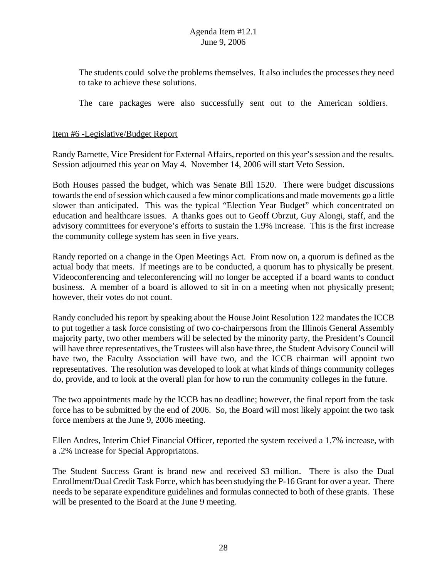The students could solve the problems themselves. It also includes the processes they need to take to achieve these solutions.

The care packages were also successfully sent out to the American soldiers.

#### Item #6 -Legislative/Budget Report

Randy Barnette, Vice President for External Affairs, reported on this year's session and the results. Session adjourned this year on May 4. November 14, 2006 will start Veto Session.

Both Houses passed the budget, which was Senate Bill 1520. There were budget discussions towards the end of session which caused a few minor complications and made movements go a little slower than anticipated. This was the typical "Election Year Budget" which concentrated on education and healthcare issues. A thanks goes out to Geoff Obrzut, Guy Alongi, staff, and the advisory committees for everyone's efforts to sustain the 1.9% increase. This is the first increase the community college system has seen in five years.

Randy reported on a change in the Open Meetings Act. From now on, a quorum is defined as the actual body that meets. If meetings are to be conducted, a quorum has to physically be present. Videoconferencing and teleconferencing will no longer be accepted if a board wants to conduct business. A member of a board is allowed to sit in on a meeting when not physically present; however, their votes do not count.

Randy concluded his report by speaking about the House Joint Resolution 122 mandates the ICCB to put together a task force consisting of two co-chairpersons from the Illinois General Assembly majority party, two other members will be selected by the minority party, the President's Council will have three representatives, the Trustees will also have three, the Student Advisory Council will have two, the Faculty Association will have two, and the ICCB chairman will appoint two representatives. The resolution was developed to look at what kinds of things community colleges do, provide, and to look at the overall plan for how to run the community colleges in the future.

The two appointments made by the ICCB has no deadline; however, the final report from the task force has to be submitted by the end of 2006. So, the Board will most likely appoint the two task force members at the June 9, 2006 meeting.

Ellen Andres, Interim Chief Financial Officer, reported the system received a 1.7% increase, with a .2% increase for Special Appropriatons.

The Student Success Grant is brand new and received \$3 million. There is also the Dual Enrollment/Dual Credit Task Force, which has been studying the P-16 Grant for over a year. There needs to be separate expenditure guidelines and formulas connected to both of these grants. These will be presented to the Board at the June 9 meeting.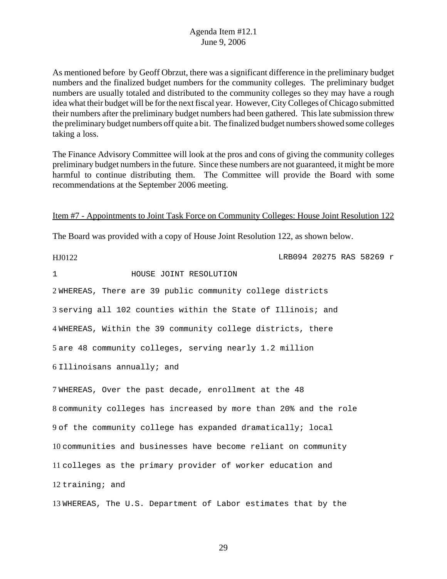As mentioned before by Geoff Obrzut, there was a significant difference in the preliminary budget numbers and the finalized budget numbers for the community colleges. The preliminary budget numbers are usually totaled and distributed to the community colleges so they may have a rough idea what their budget will be for the next fiscal year. However, City Colleges of Chicago submitted their numbers after the preliminary budget numbers had been gathered. This late submission threw the preliminary budget numbers off quite a bit. The finalized budget numbers showed some colleges taking a loss.

The Finance Advisory Committee will look at the pros and cons of giving the community colleges preliminary budget numbers in the future. Since these numbers are not guaranteed, it might be more harmful to continue distributing them. The Committee will provide the Board with some recommendations at the September 2006 meeting.

Item #7 - Appointments to Joint Task Force on Community Colleges: House Joint Resolution 122

The Board was provided with a copy of House Joint Resolution 122, as shown below.

HJ0122 LRB094 20275 RAS 58269 r

1 HOUSE JOINT RESOLUTION

2 WHEREAS, There are 39 public community college districts

3 serving all 102 counties within the State of Illinois; and

4 WHEREAS, Within the 39 community college districts, there

5 are 48 community colleges, serving nearly 1.2 million

6 Illinoisans annually; and

7 WHEREAS, Over the past decade, enrollment at the 48

8 community colleges has increased by more than 20% and the role

9 of the community college has expanded dramatically; local

10 communities and businesses have become reliant on community

11 colleges as the primary provider of worker education and

12 training; and

13 WHEREAS, The U.S. Department of Labor estimates that by the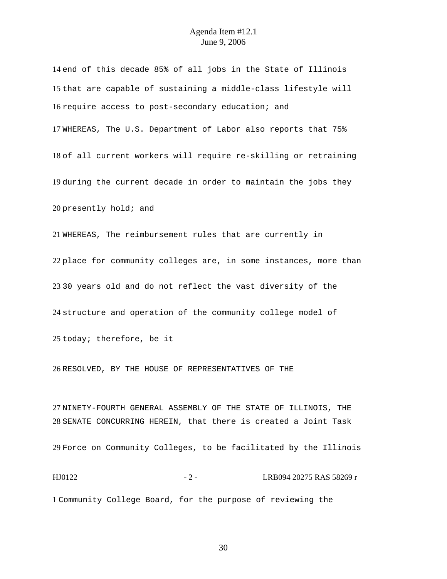end of this decade 85% of all jobs in the State of Illinois that are capable of sustaining a middle-class lifestyle will require access to post-secondary education; and WHEREAS, The U.S. Department of Labor also reports that 75% of all current workers will require re-skilling or retraining during the current decade in order to maintain the jobs they presently hold; and WHEREAS, The reimbursement rules that are currently in

place for community colleges are, in some instances, more than 30 years old and do not reflect the vast diversity of the structure and operation of the community college model of today; therefore, be it

RESOLVED, BY THE HOUSE OF REPRESENTATIVES OF THE

NINETY-FOURTH GENERAL ASSEMBLY OF THE STATE OF ILLINOIS, THE SENATE CONCURRING HEREIN, that there is created a Joint Task

Force on Community Colleges, to be facilitated by the Illinois

HJ0122 - 2 - LRB094 20275 RAS 58269 r Community College Board, for the purpose of reviewing the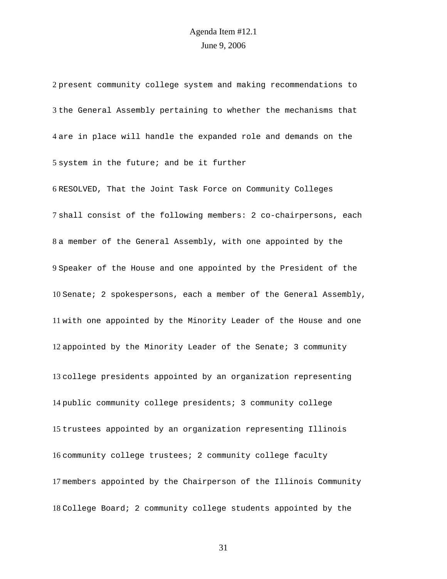present community college system and making recommendations to the General Assembly pertaining to whether the mechanisms that are in place will handle the expanded role and demands on the system in the future; and be it further RESOLVED, That the Joint Task Force on Community Colleges shall consist of the following members: 2 co-chairpersons, each a member of the General Assembly, with one appointed by the Speaker of the House and one appointed by the President of the Senate; 2 spokespersons, each a member of the General Assembly, with one appointed by the Minority Leader of the House and one appointed by the Minority Leader of the Senate; 3 community college presidents appointed by an organization representing public community college presidents; 3 community college trustees appointed by an organization representing Illinois community college trustees; 2 community college faculty members appointed by the Chairperson of the Illinois Community College Board; 2 community college students appointed by the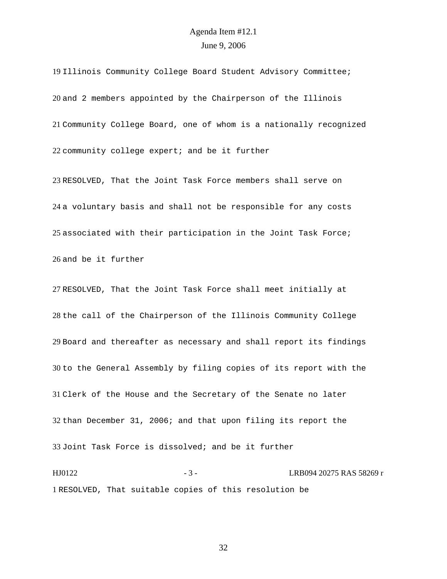Illinois Community College Board Student Advisory Committee; and 2 members appointed by the Chairperson of the Illinois Community College Board, one of whom is a nationally recognized community college expert; and be it further

RESOLVED, That the Joint Task Force members shall serve on a voluntary basis and shall not be responsible for any costs associated with their participation in the Joint Task Force; and be it further

RESOLVED, That the Joint Task Force shall meet initially at the call of the Chairperson of the Illinois Community College Board and thereafter as necessary and shall report its findings to the General Assembly by filing copies of its report with the Clerk of the House and the Secretary of the Senate no later than December 31, 2006; and that upon filing its report the Joint Task Force is dissolved; and be it further

HJ0122 - 3 - 3 - LRB094 20275 RAS 58269 r RESOLVED, That suitable copies of this resolution be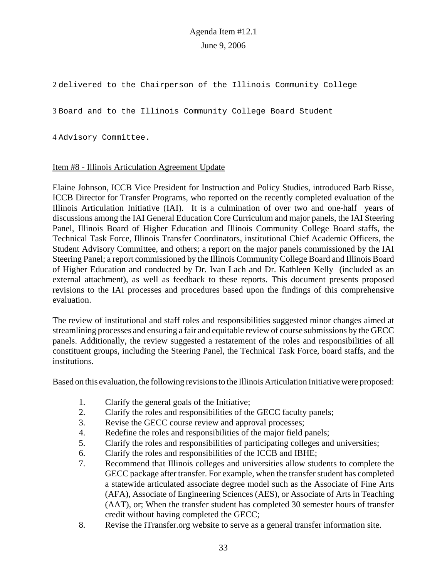2 delivered to the Chairperson of the Illinois Community College

3 Board and to the Illinois Community College Board Student

4 Advisory Committee.

#### Item #8 - Illinois Articulation Agreement Update

Elaine Johnson, ICCB Vice President for Instruction and Policy Studies, introduced Barb Risse, ICCB Director for Transfer Programs, who reported on the recently completed evaluation of the Illinois Articulation Initiative (IAI). It is a culmination of over two and one-half years of discussions among the IAI General Education Core Curriculum and major panels, the IAI Steering Panel, Illinois Board of Higher Education and Illinois Community College Board staffs, the Technical Task Force, Illinois Transfer Coordinators, institutional Chief Academic Officers, the Student Advisory Committee, and others; a report on the major panels commissioned by the IAI Steering Panel; a report commissioned by the Illinois Community College Board and Illinois Board of Higher Education and conducted by Dr. Ivan Lach and Dr. Kathleen Kelly (included as an external attachment), as well as feedback to these reports. This document presents proposed revisions to the IAI processes and procedures based upon the findings of this comprehensive evaluation.

The review of institutional and staff roles and responsibilities suggested minor changes aimed at streamlining processes and ensuring a fair and equitable review of course submissions by the GECC panels. Additionally, the review suggested a restatement of the roles and responsibilities of all constituent groups, including the Steering Panel, the Technical Task Force, board staffs, and the institutions.

Based on this evaluation, the following revisions to the Illinois Articulation Initiative were proposed:

- 1. Clarify the general goals of the Initiative;
- 2. Clarify the roles and responsibilities of the GECC faculty panels;
- 3. Revise the GECC course review and approval processes;
- 4. Redefine the roles and responsibilities of the major field panels;
- 5. Clarify the roles and responsibilities of participating colleges and universities;
- 6. Clarify the roles and responsibilities of the ICCB and IBHE;
- 7. Recommend that Illinois colleges and universities allow students to complete the GECC package after transfer. For example, when the transfer student has completed a statewide articulated associate degree model such as the Associate of Fine Arts (AFA), Associate of Engineering Sciences (AES), or Associate of Arts in Teaching (AAT), or; When the transfer student has completed 30 semester hours of transfer credit without having completed the GECC;
- 8. Revise the iTransfer.org website to serve as a general transfer information site.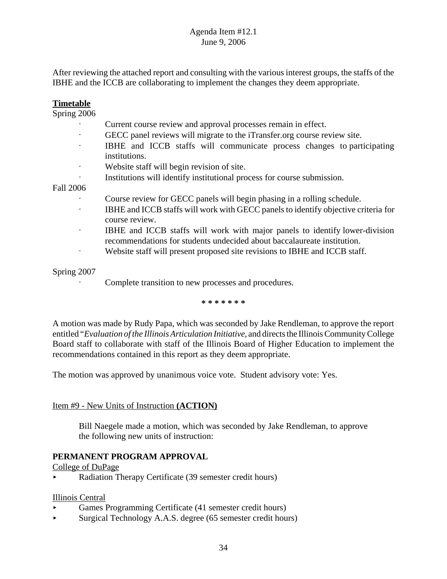After reviewing the attached report and consulting with the various interest groups, the staffs of the IBHE and the ICCB are collaborating to implement the changes they deem appropriate.

#### **Timetable**

Spring 2006

- Current course review and approval processes remain in effect.
- GECC panel reviews will migrate to the iTransfer.org course review site.
- A IBHE and ICCB staffs will communicate process changes to participating institutions.
- Website staff will begin revision of site.
- A Institutions will identify institutional process for course submission.

#### Fall 2006

- Course review for GECC panels will begin phasing in a rolling schedule.
- $\cdot$  IBHE and ICCB staffs will work with GECC panels to identify objective criteria for course review.
- $\cdot$  IBHE and ICCB staffs will work with major panels to identify lower-division recommendations for students undecided about baccalaureate institution.
- Website staff will present proposed site revisions to IBHE and ICCB staff.

#### Spring 2007

Complete transition to new processes and procedures.

**\* \* \* \* \* \* \***

A motion was made by Rudy Papa, which was seconded by Jake Rendleman, to approve the report entitled "*Evaluation of the Illinois Articulation Initiative*, and directs the Illinois Community College Board staff to collaborate with staff of the Illinois Board of Higher Education to implement the recommendations contained in this report as they deem appropriate.

The motion was approved by unanimous voice vote. Student advisory vote: Yes.

#### Item #9 - New Units of Instruction **(ACTION)**

Bill Naegele made a motion, which was seconded by Jake Rendleman, to approve the following new units of instruction:

#### **PERMANENT PROGRAM APPROVAL**

College of DuPage

< Radiation Therapy Certificate (39 semester credit hours)

#### Illinois Central

- < Games Programming Certificate (41 semester credit hours)
- < Surgical Technology A.A.S. degree (65 semester credit hours)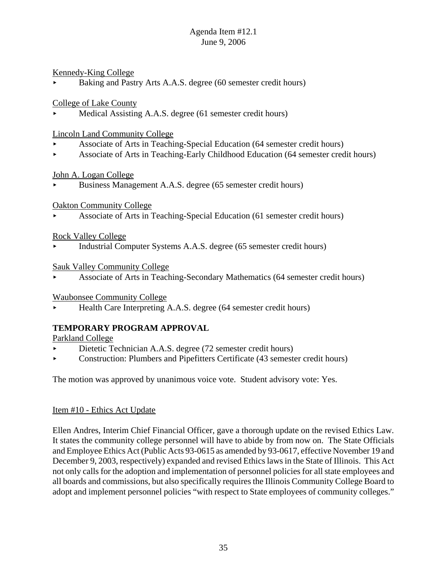# Kennedy-King College

Baking and Pastry Arts A.A.S. degree (60 semester credit hours)

# College of Lake County

Medical Assisting A.A.S. degree (61 semester credit hours)

# Lincoln Land Community College

- < Associate of Arts in Teaching-Special Education (64 semester credit hours)
- < Associate of Arts in Teaching-Early Childhood Education (64 semester credit hours)

# John A. Logan College

< Business Management A.A.S. degree (65 semester credit hours)

# Oakton Community College

< Associate of Arts in Teaching-Special Education (61 semester credit hours)

# Rock Valley College

< Industrial Computer Systems A.A.S. degree (65 semester credit hours)

# Sauk Valley Community College

< Associate of Arts in Teaching-Secondary Mathematics (64 semester credit hours)

# Waubonsee Community College

< Health Care Interpreting A.A.S. degree (64 semester credit hours)

# **TEMPORARY PROGRAM APPROVAL**

# Parkland College

- Dietetic Technician A.A.S. degree (72 semester credit hours)
- $\triangleright$  Construction: Plumbers and Pipefitters Certificate (43 semester credit hours)

The motion was approved by unanimous voice vote. Student advisory vote: Yes.

# Item #10 - Ethics Act Update

Ellen Andres, Interim Chief Financial Officer, gave a thorough update on the revised Ethics Law. It states the community college personnel will have to abide by from now on. The State Officials and Employee Ethics Act (Public Acts 93-0615 as amended by 93-0617, effective November 19 and December 9, 2003, respectively) expanded and revised Ethics laws in the State of Illinois. This Act not only calls for the adoption and implementation of personnel policies for all state employees and all boards and commissions, but also specifically requires the Illinois Community College Board to adopt and implement personnel policies "with respect to State employees of community colleges."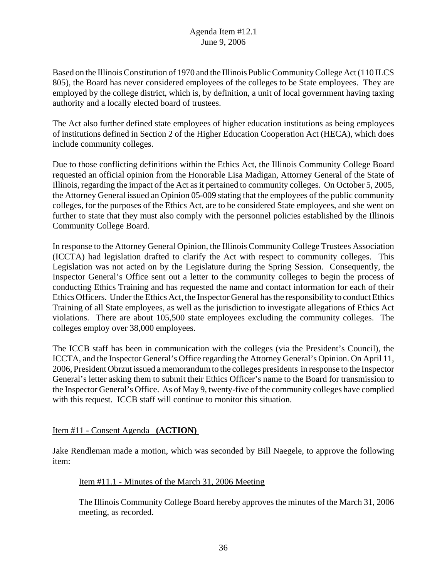Based on the Illinois Constitution of 1970 and the Illinois Public Community College Act (110 ILCS 805), the Board has never considered employees of the colleges to be State employees. They are employed by the college district, which is, by definition, a unit of local government having taxing authority and a locally elected board of trustees.

The Act also further defined state employees of higher education institutions as being employees of institutions defined in Section 2 of the Higher Education Cooperation Act (HECA), which does include community colleges.

Due to those conflicting definitions within the Ethics Act, the Illinois Community College Board requested an official opinion from the Honorable Lisa Madigan, Attorney General of the State of Illinois, regarding the impact of the Act as it pertained to community colleges. On October 5, 2005, the Attorney General issued an Opinion 05-009 stating that the employees of the public community colleges, for the purposes of the Ethics Act, are to be considered State employees, and she went on further to state that they must also comply with the personnel policies established by the Illinois Community College Board.

In response to the Attorney General Opinion, the Illinois Community College Trustees Association (ICCTA) had legislation drafted to clarify the Act with respect to community colleges. This Legislation was not acted on by the Legislature during the Spring Session. Consequently, the Inspector General's Office sent out a letter to the community colleges to begin the process of conducting Ethics Training and has requested the name and contact information for each of their Ethics Officers. Under the Ethics Act, the Inspector General has the responsibility to conduct Ethics Training of all State employees, as well as the jurisdiction to investigate allegations of Ethics Act violations. There are about 105,500 state employees excluding the community colleges. The colleges employ over 38,000 employees.

The ICCB staff has been in communication with the colleges (via the President's Council), the ICCTA, and the Inspector General's Office regarding the Attorney General's Opinion. On April 11, 2006, President Obrzut issued a memorandum to the colleges presidents in response to the Inspector General's letter asking them to submit their Ethics Officer's name to the Board for transmission to the Inspector General's Office. As of May 9, twenty-five of the community colleges have complied with this request. ICCB staff will continue to monitor this situation.

Item #11 - Consent Agenda **(ACTION)**

Jake Rendleman made a motion, which was seconded by Bill Naegele, to approve the following item:

# Item #11.1 - Minutes of the March 31, 2006 Meeting

The Illinois Community College Board hereby approves the minutes of the March 31, 2006 meeting, as recorded.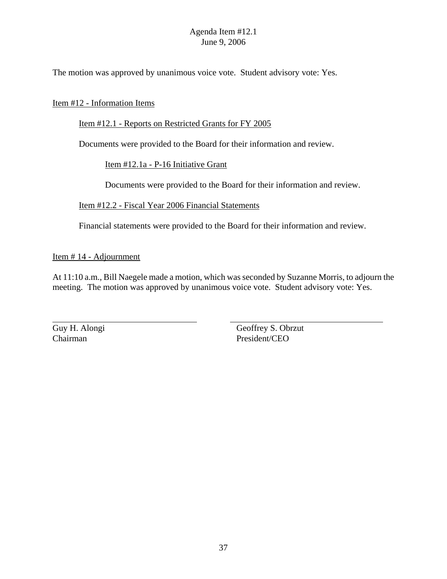The motion was approved by unanimous voice vote. Student advisory vote: Yes.

#### Item #12 - Information Items

#### Item #12.1 - Reports on Restricted Grants for FY 2005

Documents were provided to the Board for their information and review.

#### Item #12.1a - P-16 Initiative Grant

Documents were provided to the Board for their information and review.

#### Item #12.2 - Fiscal Year 2006 Financial Statements

Financial statements were provided to the Board for their information and review.

#### Item # 14 - Adjournment

At 11:10 a.m., Bill Naegele made a motion, which was seconded by Suzanne Morris, to adjourn the meeting. The motion was approved by unanimous voice vote. Student advisory vote: Yes.

Guy H. Alongi Geoffrey S. Obrzut Chairman President/CEO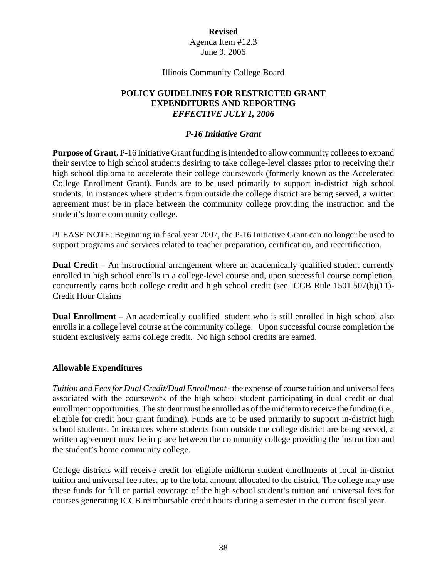#### Illinois Community College Board

# **POLICY GUIDELINES FOR RESTRICTED GRANT EXPENDITURES AND REPORTING** *EFFECTIVE JULY 1, 2006*

#### *P-16 Initiative Grant*

**Purpose of Grant.** P-16 Initiative Grant funding is intended to allow community colleges to expand their service to high school students desiring to take college-level classes prior to receiving their high school diploma to accelerate their college coursework (formerly known as the Accelerated College Enrollment Grant). Funds are to be used primarily to support in-district high school students. In instances where students from outside the college district are being served, a written agreement must be in place between the community college providing the instruction and the student's home community college.

PLEASE NOTE: Beginning in fiscal year 2007, the P-16 Initiative Grant can no longer be used to support programs and services related to teacher preparation, certification, and recertification.

**Dual Credit** – An instructional arrangement where an academically qualified student currently enrolled in high school enrolls in a college-level course and, upon successful course completion, concurrently earns both college credit and high school credit (see ICCB Rule 1501.507(b)(11)- Credit Hour Claims

**Dual Enrollment** – An academically qualified student who is still enrolled in high school also enrolls in a college level course at the community college. Upon successful course completion the student exclusively earns college credit. No high school credits are earned.

#### **Allowable Expenditures**

*Tuition and Fees for Dual Credit/Dual Enrollment* - the expense of course tuition and universal fees associated with the coursework of the high school student participating in dual credit or dual enrollment opportunities. The student must be enrolled as of the midterm to receive the funding (i.e., eligible for credit hour grant funding). Funds are to be used primarily to support in-district high school students. In instances where students from outside the college district are being served, a written agreement must be in place between the community college providing the instruction and the student's home community college.

College districts will receive credit for eligible midterm student enrollments at local in-district tuition and universal fee rates, up to the total amount allocated to the district. The college may use these funds for full or partial coverage of the high school student's tuition and universal fees for courses generating ICCB reimbursable credit hours during a semester in the current fiscal year.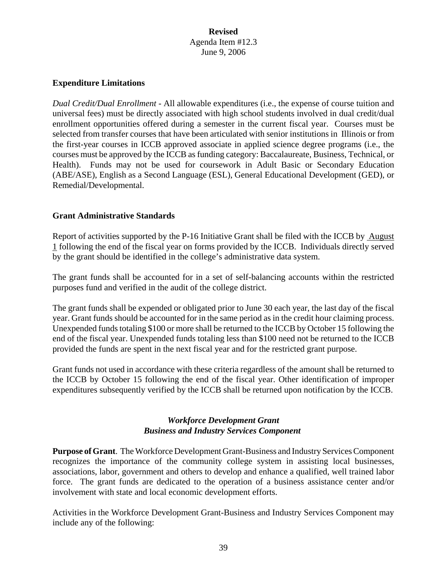#### **Expenditure Limitations**

*Dual Credit/Dual Enrollment -* All allowable expenditures (i.e., the expense of course tuition and universal fees) must be directly associated with high school students involved in dual credit/dual enrollment opportunities offered during a semester in the current fiscal year. Courses must be selected from transfer courses that have been articulated with senior institutions in Illinois or from the first-year courses in ICCB approved associate in applied science degree programs (i.e., the courses must be approved by the ICCB as funding category: Baccalaureate, Business, Technical, or Health). Funds may not be used for coursework in Adult Basic or Secondary Education (ABE/ASE), English as a Second Language (ESL), General Educational Development (GED), or Remedial/Developmental.

#### **Grant Administrative Standards**

Report of activities supported by the P-16 Initiative Grant shall be filed with the ICCB by August 1 following the end of the fiscal year on forms provided by the ICCB. Individuals directly served by the grant should be identified in the college's administrative data system.

The grant funds shall be accounted for in a set of self-balancing accounts within the restricted purposes fund and verified in the audit of the college district.

The grant funds shall be expended or obligated prior to June 30 each year, the last day of the fiscal year. Grant funds should be accounted for in the same period as in the credit hour claiming process. Unexpended funds totaling \$100 or more shall be returned to the ICCB by October 15 following the end of the fiscal year. Unexpended funds totaling less than \$100 need not be returned to the ICCB provided the funds are spent in the next fiscal year and for the restricted grant purpose.

Grant funds not used in accordance with these criteria regardless of the amount shall be returned to the ICCB by October 15 following the end of the fiscal year. Other identification of improper expenditures subsequently verified by the ICCB shall be returned upon notification by the ICCB.

# *Workforce Development Grant Business and Industry Services Component*

**Purpose of Grant**. The Workforce Development Grant-Business and Industry Services Component recognizes the importance of the community college system in assisting local businesses, associations, labor, government and others to develop and enhance a qualified, well trained labor force. The grant funds are dedicated to the operation of a business assistance center and/or involvement with state and local economic development efforts.

Activities in the Workforce Development Grant-Business and Industry Services Component may include any of the following: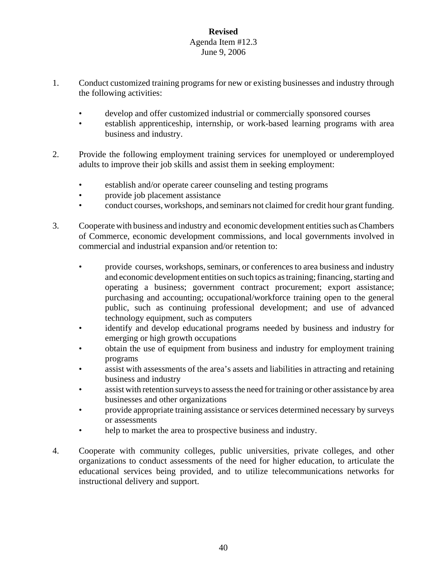- 1. Conduct customized training programs for new or existing businesses and industry through the following activities:
	- develop and offer customized industrial or commercially sponsored courses
	- establish apprenticeship, internship, or work-based learning programs with area business and industry.
- 2. Provide the following employment training services for unemployed or underemployed adults to improve their job skills and assist them in seeking employment:
	- establish and/or operate career counseling and testing programs
	- provide job placement assistance
	- conduct courses, workshops, and seminars not claimed for credit hour grant funding.
- 3. Cooperate with business and industry and economic development entities such as Chambers of Commerce, economic development commissions, and local governments involved in commercial and industrial expansion and/or retention to:
	- provide courses, workshops, seminars, or conferences to area business and industry and economic development entities on such topics as training; financing, starting and operating a business; government contract procurement; export assistance; purchasing and accounting; occupational/workforce training open to the general public, such as continuing professional development; and use of advanced technology equipment, such as computers
	- identify and develop educational programs needed by business and industry for emerging or high growth occupations
	- obtain the use of equipment from business and industry for employment training programs
	- assist with assessments of the area's assets and liabilities in attracting and retaining business and industry
	- assist with retention surveys to assess the need for training or other assistance by area businesses and other organizations
	- provide appropriate training assistance or services determined necessary by surveys or assessments
	- help to market the area to prospective business and industry.
- 4. Cooperate with community colleges, public universities, private colleges, and other organizations to conduct assessments of the need for higher education, to articulate the educational services being provided, and to utilize telecommunications networks for instructional delivery and support.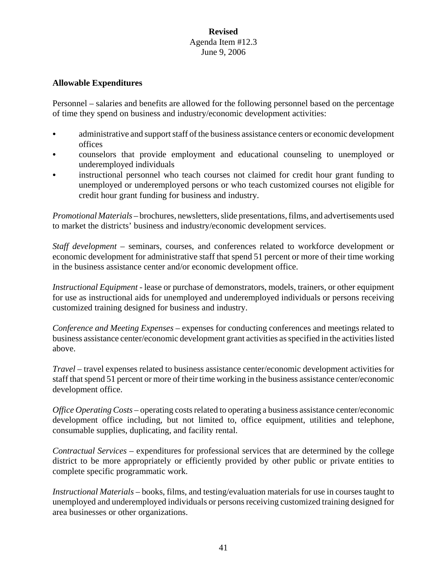#### **Allowable Expenditures**

Personnel – salaries and benefits are allowed for the following personnel based on the percentage of time they spend on business and industry/economic development activities:

- administrative and support staff of the business assistance centers or economic development offices
- C counselors that provide employment and educational counseling to unemployed or underemployed individuals
- instructional personnel who teach courses not claimed for credit hour grant funding to unemployed or underemployed persons or who teach customized courses not eligible for credit hour grant funding for business and industry.

*Promotional Materials* – brochures, newsletters, slide presentations, films, and advertisements used to market the districts' business and industry/economic development services.

*Staff development* – seminars, courses, and conferences related to workforce development or economic development for administrative staff that spend 51 percent or more of their time working in the business assistance center and/or economic development office.

*Instructional Equipment* - lease or purchase of demonstrators, models, trainers, or other equipment for use as instructional aids for unemployed and underemployed individuals or persons receiving customized training designed for business and industry.

*Conference and Meeting Expenses* – expenses for conducting conferences and meetings related to business assistance center/economic development grant activities as specified in the activities listed above.

*Travel* – travel expenses related to business assistance center/economic development activities for staff that spend 51 percent or more of their time working in the business assistance center/economic development office.

*Office Operating Costs* – operating costs related to operating a business assistance center/economic development office including, but not limited to, office equipment, utilities and telephone, consumable supplies, duplicating, and facility rental.

*Contractual Services* – expenditures for professional services that are determined by the college district to be more appropriately or efficiently provided by other public or private entities to complete specific programmatic work.

*Instructional Materials* – books, films, and testing/evaluation materials for use in courses taught to unemployed and underemployed individuals or persons receiving customized training designed for area businesses or other organizations.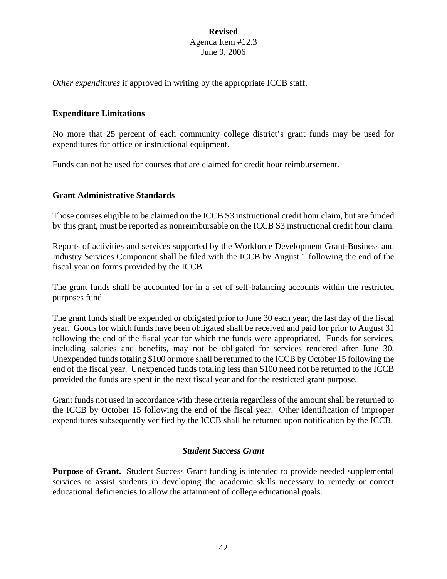*Other expenditures* if approved in writing by the appropriate ICCB staff.

#### **Expenditure Limitations**

No more that 25 percent of each community college district's grant funds may be used for expenditures for office or instructional equipment.

Funds can not be used for courses that are claimed for credit hour reimbursement.

#### **Grant Administrative Standards**

Those courses eligible to be claimed on the ICCB S3 instructional credit hour claim, but are funded by this grant, must be reported as nonreimbursable on the ICCB S3 instructional credit hour claim.

Reports of activities and services supported by the Workforce Development Grant-Business and Industry Services Component shall be filed with the ICCB by August 1 following the end of the fiscal year on forms provided by the ICCB.

The grant funds shall be accounted for in a set of self-balancing accounts within the restricted purposes fund.

The grant funds shall be expended or obligated prior to June 30 each year, the last day of the fiscal year. Goods for which funds have been obligated shall be received and paid for prior to August 31 following the end of the fiscal year for which the funds were appropriated. Funds for services, including salaries and benefits, may not be obligated for services rendered after June 30. Unexpended funds totaling \$100 or more shall be returned to the ICCB by October 15 following the end of the fiscal year. Unexpended funds totaling less than \$100 need not be returned to the ICCB provided the funds are spent in the next fiscal year and for the restricted grant purpose.

Grant funds not used in accordance with these criteria regardless of the amount shall be returned to the ICCB by October 15 following the end of the fiscal year. Other identification of improper expenditures subsequently verified by the ICCB shall be returned upon notification by the ICCB.

#### *Student Success Grant*

**Purpose of Grant.** Student Success Grant funding is intended to provide needed supplemental services to assist students in developing the academic skills necessary to remedy or correct educational deficiencies to allow the attainment of college educational goals.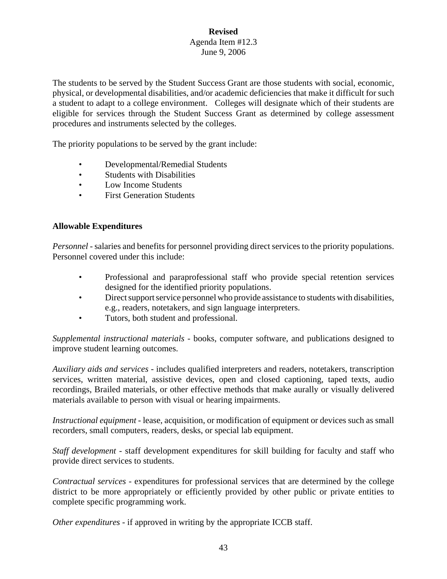The students to be served by the Student Success Grant are those students with social, economic, physical, or developmental disabilities, and/or academic deficiencies that make it difficult for such a student to adapt to a college environment. Colleges will designate which of their students are eligible for services through the Student Success Grant as determined by college assessment procedures and instruments selected by the colleges.

The priority populations to be served by the grant include:

- Developmental/Remedial Students
- Students with Disabilities
- Low Income Students
- **First Generation Students**

#### **Allowable Expenditures**

*Personnel -* salaries and benefits for personnel providing direct services to the priority populations. Personnel covered under this include:

- Professional and paraprofessional staff who provide special retention services designed for the identified priority populations.
- Direct support service personnel who provide assistance to students with disabilities, e.g., readers, notetakers, and sign language interpreters.
- Tutors, both student and professional.

*Supplemental instructional materials -* books, computer software, and publications designed to improve student learning outcomes.

*Auxiliary aids and services* - includes qualified interpreters and readers, notetakers, transcription services, written material, assistive devices, open and closed captioning, taped texts, audio recordings, Brailed materials, or other effective methods that make aurally or visually delivered materials available to person with visual or hearing impairments.

*Instructional equipment* - lease, acquisition, or modification of equipment or devices such as small recorders, small computers, readers, desks, or special lab equipment.

*Staff development -* staff development expenditures for skill building for faculty and staff who provide direct services to students.

*Contractual services* - expenditures for professional services that are determined by the college district to be more appropriately or efficiently provided by other public or private entities to complete specific programming work.

*Other expenditures - if approved in writing by the appropriate ICCB staff.*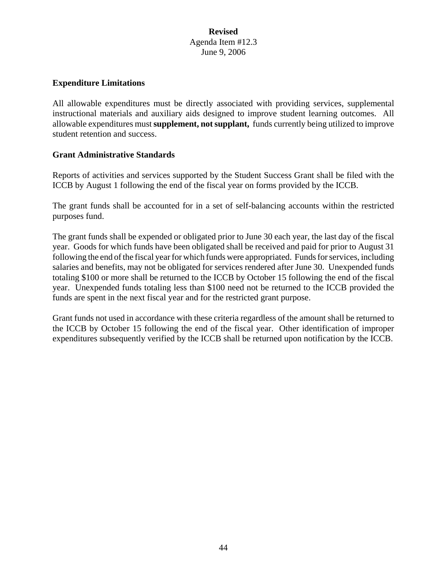#### **Expenditure Limitations**

All allowable expenditures must be directly associated with providing services, supplemental instructional materials and auxiliary aids designed to improve student learning outcomes. All allowable expenditures must **supplement, not supplant,** funds currently being utilized to improve student retention and success.

#### **Grant Administrative Standards**

Reports of activities and services supported by the Student Success Grant shall be filed with the ICCB by August 1 following the end of the fiscal year on forms provided by the ICCB.

The grant funds shall be accounted for in a set of self-balancing accounts within the restricted purposes fund.

The grant funds shall be expended or obligated prior to June 30 each year, the last day of the fiscal year. Goods for which funds have been obligated shall be received and paid for prior to August 31 following the end of the fiscal year for which funds were appropriated. Funds for services, including salaries and benefits, may not be obligated for services rendered after June 30. Unexpended funds totaling \$100 or more shall be returned to the ICCB by October 15 following the end of the fiscal year. Unexpended funds totaling less than \$100 need not be returned to the ICCB provided the funds are spent in the next fiscal year and for the restricted grant purpose.

Grant funds not used in accordance with these criteria regardless of the amount shall be returned to the ICCB by October 15 following the end of the fiscal year. Other identification of improper expenditures subsequently verified by the ICCB shall be returned upon notification by the ICCB.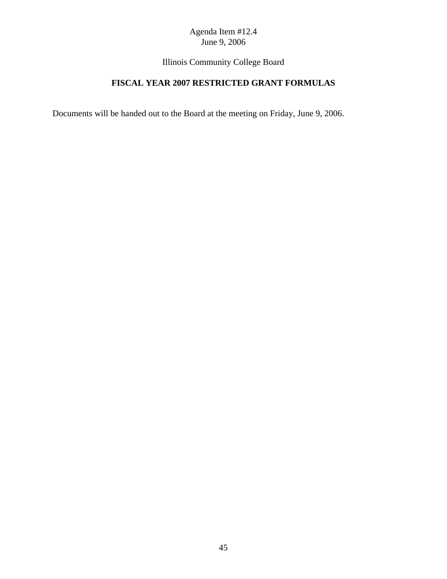Illinois Community College Board

# **FISCAL YEAR 2007 RESTRICTED GRANT FORMULAS**

Documents will be handed out to the Board at the meeting on Friday, June 9, 2006.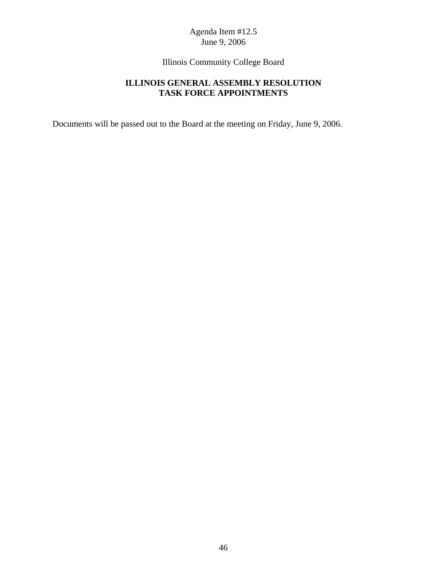Illinois Community College Board

# **ILLINOIS GENERAL ASSEMBLY RESOLUTION TASK FORCE APPOINTMENTS**

Documents will be passed out to the Board at the meeting on Friday, June 9, 2006.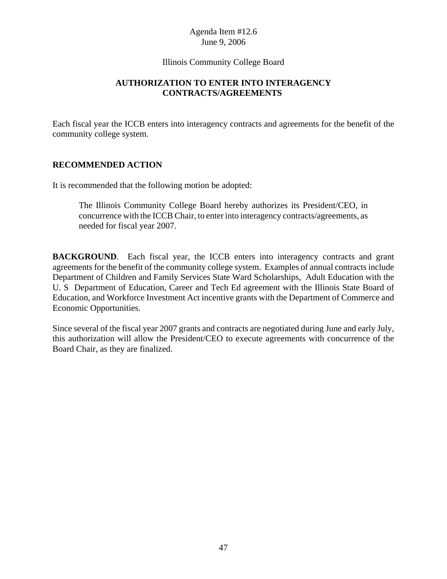#### Illinois Community College Board

# **AUTHORIZATION TO ENTER INTO INTERAGENCY CONTRACTS/AGREEMENTS**

Each fiscal year the ICCB enters into interagency contracts and agreements for the benefit of the community college system.

# **RECOMMENDED ACTION**

It is recommended that the following motion be adopted:

The Illinois Community College Board hereby authorizes its President/CEO, in concurrence with the ICCB Chair, to enter into interagency contracts/agreements, as needed for fiscal year 2007.

**BACKGROUND**. Each fiscal year, the ICCB enters into interagency contracts and grant agreements for the benefit of the community college system. Examples of annual contracts include Department of Children and Family Services State Ward Scholarships, Adult Education with the U. S Department of Education, Career and Tech Ed agreement with the Illinois State Board of Education, and Workforce Investment Act incentive grants with the Department of Commerce and Economic Opportunities.

Since several of the fiscal year 2007 grants and contracts are negotiated during June and early July, this authorization will allow the President/CEO to execute agreements with concurrence of the Board Chair, as they are finalized.